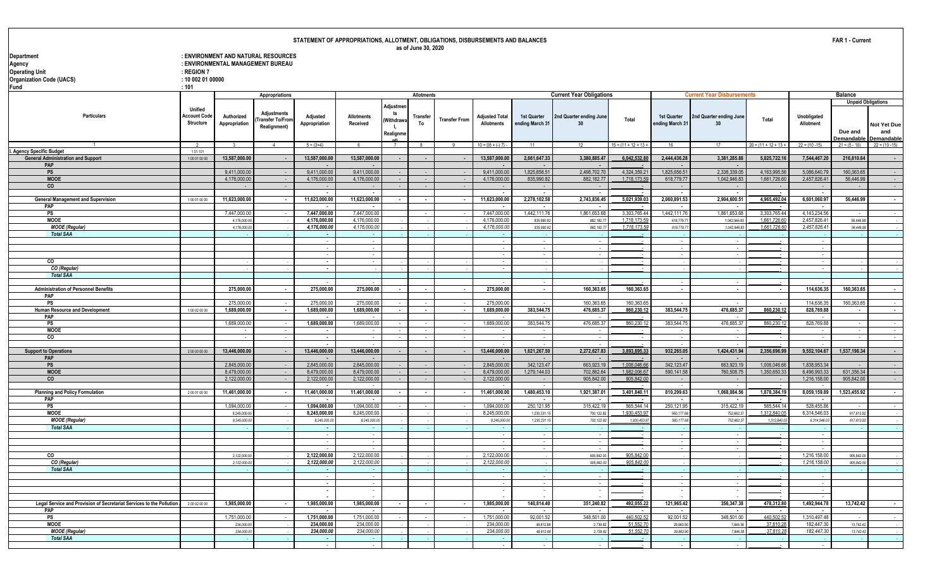#### : ENVIRONMENT AND NATURAL RESOURCES : ENVIRONMENTAL MANAGEMENT BUREAU<br>: REGION 7 **Operating Unit Contract Contract Contract Contract Contract Contract Contract Contract Contract Contract Contract Contract Contract Contract Contract Contract Contract Contract Contract Contract Contract Contract Contract Organization Code (UACS) : 10 002 01 00000**

| Fund                                                                 | : 101                                              |                             |                                                 |                              |                              |                                                |                          |                      |                                     |                                |                                 |                             |                                |                                   |                             |                             |                                                               |                    |
|----------------------------------------------------------------------|----------------------------------------------------|-----------------------------|-------------------------------------------------|------------------------------|------------------------------|------------------------------------------------|--------------------------|----------------------|-------------------------------------|--------------------------------|---------------------------------|-----------------------------|--------------------------------|-----------------------------------|-----------------------------|-----------------------------|---------------------------------------------------------------|--------------------|
|                                                                      |                                                    |                             | Appropriations                                  |                              |                              |                                                | <b>Allotments</b>        |                      |                                     |                                | <b>Current Year Obligations</b> |                             |                                | <b>Current Year Disbursements</b> |                             |                             | <b>Balance</b>                                                |                    |
| Particulars                                                          | <b>Unified</b><br><b>Account Code</b><br>Structure | Authorized<br>Appropriation | Adjustments<br>Transfer To/Fron<br>Realignment) | Adjusted<br>Appropriation    | Allotments<br>Received       | Adjustme<br>ts<br>(Withdrawa<br>Ι.<br>Realignm | Transfer<br>To           | <b>Transfer From</b> | <b>Adjusted Total</b><br>Allotments | 1st Quarter<br>ending March 31 | 2nd Quarter ending June<br>30   | Total                       | 1st Quarter<br>ending March 31 | 2nd Quarter ending June<br>30     | Total                       | Unobligated<br>Allotment    | <b>Unpaid Obligations</b><br>Due and<br>Demandable Demandable | Not Yet Due<br>and |
|                                                                      |                                                    |                             | $\overline{a}$                                  | $5 = (3+4)$                  | 6 <sup>5</sup>               | $\overline{7}$                                 |                          |                      | $10 = 16 + (-17)$                   | 11                             |                                 | $15 = (11 + 12 + 13 +$      | 16                             | 17                                | $20 = (11 + 12 + 13 +$      | $22 = (10 - 15)$            | $21 = (5 - 10)$                                               | $22 = (10 - 15)$   |
| I. Agency Specific Budget                                            | 101101                                             |                             |                                                 |                              |                              |                                                |                          |                      |                                     |                                |                                 |                             |                                |                                   |                             |                             |                                                               |                    |
| <b>General Administration and Support</b>                            | 100010000                                          | 13,587,000.00               |                                                 | 13,587,000.00                | 13,587,000.00                | $\sim$                                         | $\sim$                   |                      | 13,587,000.00                       | 2,661,647.33                   | 3,380,885.47                    | 6,042,532.8                 | 2,444,436.28                   | 3,381,285.88                      | 5,825,722.16                | 7,544,467.20                | 216,810.64                                                    |                    |
| PAP<br>PS                                                            |                                                    | 9,411,000.0                 |                                                 | 9,411,000.00                 | 9,411,000.00                 |                                                |                          |                      | 9,411,000.00                        | 1,825,656.5                    | 2,498,702.70                    | 4,324,359.2                 | 1,825,656.51                   | 2,338,339.0                       | 4,163,995.56                | 5,086,640.7                 | 160,363.65                                                    |                    |
| <b>MOOE</b>                                                          |                                                    | 4.176.000.0                 |                                                 | 4.176.000.00                 | 4.176.000.00                 | - 1                                            |                          |                      | 4.176.000.00                        | 835.990.82                     | 882,182,77                      | 1.718.173.5                 | 618,779,77                     | 1.042.946.83                      | 1,661,726.60                | 2,457,826.41                | 56,446.99                                                     |                    |
| $\overline{c}$                                                       |                                                    |                             |                                                 |                              |                              |                                                |                          |                      |                                     |                                |                                 |                             |                                |                                   |                             |                             |                                                               |                    |
|                                                                      |                                                    |                             |                                                 | $\sim$                       | $\sim$                       |                                                |                          |                      | $\sim$                              | $\sim$                         | $\sim$                          |                             | $\sim$                         |                                   |                             |                             |                                                               |                    |
| <b>General Management and Supervision</b>                            | 100010000                                          | 11,623,000.00               |                                                 | 11,623,000.00                | 11,623,000.00                |                                                | $\sim$                   |                      | 11,623,000.00                       | 2,278,102.58                   | 2,743,836.45                    | 5,021,939.03                | 2,060,891.53                   | 2,904,600.51                      | 4,965,492.04                | 6,601,060.97                | 56,446.99                                                     |                    |
| PAP                                                                  |                                                    |                             |                                                 |                              |                              |                                                |                          |                      |                                     |                                |                                 |                             |                                |                                   |                             |                             |                                                               |                    |
| PS<br><b>MOOE</b>                                                    |                                                    | 7.447.000.0<br>4,176,000.0  |                                                 | 7,447,000.00<br>4,176,000.00 | 7,447,000.00<br>4,176,000.00 |                                                |                          |                      | 7,447,000.00<br>4,176,000.00        | 1,442,111.7<br>835,990.8       | 1,861,653.68<br>882,182.7       | 3.303.765.44<br>1.718.173.5 | 1,442,111.76<br>618,779.77     | 1,861,653.68<br>1,042,946.8       | 3.303.765.44<br>1.661,726.6 | 4,143,234.56<br>2,457,826.4 | 56,446.99                                                     |                    |
| <b>MOOE</b> (Regular)                                                |                                                    | 4,176,000.0                 |                                                 | 4,176,000.00                 | 4,176,000.00                 |                                                |                          |                      | 4,176,000.00                        | 835,990.8                      | 882, 182.77                     | 1,718,173.59                | 618,779.77                     | 1,042,946.83                      | 1,661,726.60                | 2,457,826.41                | 56,446.99                                                     |                    |
| <b>Total SAA</b>                                                     |                                                    |                             |                                                 | $\sim$                       |                              |                                                |                          |                      |                                     |                                |                                 |                             |                                |                                   |                             |                             |                                                               |                    |
|                                                                      |                                                    |                             |                                                 | $\sim$                       | . —                          |                                                |                          |                      | $\sim$                              |                                |                                 |                             | $\sim$                         |                                   |                             |                             |                                                               |                    |
|                                                                      |                                                    |                             |                                                 |                              |                              |                                                |                          |                      |                                     |                                |                                 |                             |                                |                                   |                             |                             |                                                               |                    |
|                                                                      |                                                    |                             |                                                 | $\sim$                       | $\sim$                       |                                                |                          |                      | $\sim$                              |                                |                                 |                             |                                |                                   |                             |                             |                                                               |                    |
| $\overline{c}$                                                       |                                                    |                             |                                                 | $\sim$                       |                              |                                                |                          |                      |                                     |                                |                                 |                             |                                |                                   |                             |                             |                                                               |                    |
| CO (Regular)<br><b>Total SAA</b>                                     |                                                    |                             |                                                 | $\overline{\phantom{a}}$     |                              |                                                |                          |                      |                                     |                                |                                 |                             |                                |                                   |                             |                             |                                                               |                    |
|                                                                      |                                                    |                             |                                                 |                              |                              |                                                |                          |                      |                                     |                                |                                 |                             |                                |                                   |                             |                             |                                                               |                    |
| <b>Administration of Personnel Benefits</b>                          |                                                    | 275,000.00                  | $\sim$                                          | 275,000.00                   | 275,000.00                   | $\sim$                                         | $\sim$                   | $\sim$               | 275,000.00                          | $\sim$                         | 160,363.65                      | 160,363.65                  | $\sim$                         | $\overline{\phantom{a}}$          | $\sim$                      | 114,636.35                  | 160,363.65                                                    | $\sim$             |
| PAP                                                                  |                                                    |                             |                                                 |                              |                              |                                                |                          |                      |                                     |                                |                                 |                             |                                |                                   |                             |                             |                                                               |                    |
| PS                                                                   |                                                    | 275,000.0                   |                                                 | 275,000.0                    | 275,000.0                    |                                                |                          |                      | 275,000.00                          |                                | 160,363.65                      | 160,363.65                  |                                |                                   |                             | 114,636.3                   | 160,363.65                                                    |                    |
| Human Resource and Development                                       | 1 00 02 00 00                                      | 1,689,000.00                |                                                 | 1,689,000.00                 | 1,689,000.00                 | $\overline{\phantom{a}}$                       | $\overline{\phantom{a}}$ |                      | 1,689,000.00                        | 383,544.75                     | 476,685.37                      | 860,230.12                  | 383,544.75                     | 476,685.37                        | 860,230.12                  | 828,769.88                  |                                                               |                    |
| PAP                                                                  |                                                    |                             |                                                 |                              |                              |                                                |                          |                      |                                     |                                |                                 |                             |                                |                                   |                             |                             |                                                               |                    |
| PS<br><b>MOOE</b>                                                    |                                                    | 1,689,000.0                 |                                                 | 1,689,000.00<br>$\sim$       | 1,689,000.0                  |                                                |                          |                      | 1,689,000.00                        | 383,544.7                      | 476,685.37                      | 860,230.1                   | 383,544.75                     | 476,685.37                        | 860.230.1                   | 828,769.88                  |                                                               |                    |
| $\overline{c}$                                                       |                                                    |                             |                                                 | $\blacksquare$               |                              |                                                |                          |                      |                                     |                                |                                 |                             |                                |                                   |                             |                             |                                                               |                    |
|                                                                      |                                                    |                             |                                                 | $\sim$                       |                              |                                                |                          |                      |                                     |                                |                                 |                             |                                |                                   |                             |                             |                                                               |                    |
| <b>Support to Operations</b>                                         | 200000000                                          | 13,446,000.00               |                                                 | 13,446,000.00                | 13,446,000.00                |                                                |                          |                      | 13,446,000.00                       | 1,621,267.50                   | 2,272,627.83                    | 3,893,895.33                | 932,265.05                     | 1,424,431.94                      | 2,356,696.99                | 9,552,104.67                | 1,537,198.34                                                  | $\sim$             |
| PAP                                                                  |                                                    |                             |                                                 |                              |                              |                                                |                          |                      |                                     |                                |                                 |                             |                                |                                   |                             |                             |                                                               |                    |
| PS                                                                   |                                                    | 2,845,000.0                 |                                                 | 2,845,000.00                 | 2,845,000.00                 |                                                |                          |                      | 2,845,000.00                        | 342,123.47                     | 663,923.19                      | 1.006.046.66                | 342,123.47                     | 663,923.19                        | 1,006,046.66                | 1,838,953.3                 |                                                               |                    |
| <b>MOOE</b><br>co                                                    |                                                    | 8,479,000.0<br>2,122,000.00 |                                                 | 8.479.000.00<br>2,122,000.00 | 8,479,000.00<br>2,122,000.00 |                                                |                          |                      | 8,479,000.00<br>2,122,000.00        | 1,279,144.03                   | 702,862.64<br>905,842.00        | 1,982,006.6<br>905,842.00   | 590,141.58<br>$\sim$           | 760,508.7                         | 1,350,650.33                | 6,496,993.3<br>1,216,158.0  | 631,356.34<br>905,842.00                                      |                    |
|                                                                      |                                                    |                             |                                                 |                              |                              |                                                |                          |                      |                                     |                                |                                 |                             | $\sim$                         |                                   |                             |                             |                                                               |                    |
| <b>Planning and Policy Formulation</b>                               | 200010000                                          | 11,461,000.00               |                                                 | 11,461,000.00                | 11,461,000.00                |                                                | $\sim$                   |                      | 11,461,000.00                       | 1,480,453.10                   | 1,921,387.01                    | 3,401,840.1                 | 810,299.63                     | 1,068,084.56                      | 1,878,384.19                | 8,059,159.89                | 1,523,455.92                                                  |                    |
| PAP                                                                  |                                                    |                             |                                                 |                              |                              |                                                |                          |                      |                                     |                                | $\sim$                          |                             | $\sim$                         |                                   |                             |                             |                                                               |                    |
| <b>PS</b>                                                            |                                                    | 1,094,000.00                |                                                 | 1.094.000.00                 | 1.094.000.00                 |                                                |                          |                      | 1.094.000.00                        | 250,121.95                     | 315,422.19                      | 565,544.14                  | 250,121.95                     | 315,422.19                        | 565,544.14                  | 528.455.86                  |                                                               |                    |
| <b>MOOE</b>                                                          |                                                    | 8,245,000.                  |                                                 | 8,245,000.00                 | 8,245,000.0                  |                                                |                          |                      | 8,245,000.00                        | 1,230,331.                     | 700,122.82                      | 1.930.453.9                 | 560,177.68                     | 752,662.3                         | 1.312.840.0                 | 6.314.546.0                 | 617,613.9                                                     |                    |
| <b>MOOE</b> (Regular)                                                |                                                    | 8,245,000.0                 |                                                 | 8,245,000.0                  | 8,245,000.0                  |                                                |                          |                      | 8,245,000.00                        | 1,230,331.                     | 700,122.82                      | 1,930,453.9                 | 560,177.68                     | 752,662.3                         | 1,312,840.0                 | 6,314,546.0                 | 617,613.92                                                    |                    |
| <b>Total SAA</b>                                                     |                                                    |                             |                                                 | $\sim$<br>$\sim$             |                              |                                                |                          |                      | $\sim$                              |                                |                                 |                             |                                |                                   |                             |                             |                                                               |                    |
|                                                                      |                                                    |                             |                                                 | $\sim$                       |                              |                                                |                          |                      |                                     |                                |                                 |                             |                                |                                   |                             |                             |                                                               |                    |
|                                                                      |                                                    |                             |                                                 |                              |                              |                                                |                          |                      |                                     |                                |                                 |                             |                                |                                   |                             |                             |                                                               |                    |
| CO                                                                   |                                                    | 2,122,000.0                 |                                                 | 2,122,000.00                 | 2.122.000.00                 |                                                |                          |                      | 2,122,000.00                        |                                | 905.842.00                      | 905.842.00                  |                                |                                   |                             | 1,216,158.00                | 905,842.00                                                    |                    |
| CO (Regular)                                                         |                                                    | 2,122,000.0                 |                                                 | 2,122,000.00                 | 2,122,000.00                 |                                                |                          |                      | 2,122,000.00                        |                                | 905,842.00                      | 905,842.00                  |                                |                                   |                             | 1,216,158.00                | 905,842.00                                                    |                    |
| <b>Total SAA</b>                                                     |                                                    |                             |                                                 | $\sim$                       |                              |                                                |                          |                      |                                     |                                |                                 |                             |                                |                                   |                             |                             |                                                               |                    |
|                                                                      |                                                    |                             |                                                 | $\sim$                       |                              |                                                |                          |                      | $\sim$                              |                                |                                 |                             |                                |                                   |                             |                             |                                                               |                    |
|                                                                      |                                                    |                             |                                                 | $\blacksquare$<br>$\sim$     | $\sim$<br>$\sim$             |                                                |                          |                      | $\sim$                              | $\sim$                         | $\sim$                          |                             | $\sim$                         |                                   |                             | $\sim$                      |                                                               |                    |
|                                                                      |                                                    |                             |                                                 |                              |                              |                                                |                          |                      |                                     |                                |                                 |                             |                                |                                   |                             |                             |                                                               |                    |
| Legal Service and Provision of Secretariat Services to the Pollution | 200020000                                          | 1.985.000.00                |                                                 | 1,985,000.00                 | 1,985,000.00                 | $\sim$                                         | $\sim$                   |                      | 1,985,000.00                        | 140,814.40                     | 351.240.82                      | 492,055.22                  | 121,965.42                     | 356,347.38                        | 478,312.8                   | 1,492,944.78                | 13.742.42                                                     |                    |
| PAP                                                                  |                                                    |                             |                                                 | $\sim$                       | $\sim$                       |                                                |                          |                      | $\sim$                              |                                | $\sim$                          |                             | $\sim$                         |                                   |                             |                             |                                                               |                    |
| PS                                                                   |                                                    | 1,751,000.00                |                                                 | 1,751,000.00                 | 1,751,000.0                  |                                                |                          |                      | 1,751,000.00                        | 92,001.52                      | 348,501.00                      | 440,502.5                   | 92,001.52                      | 348,501.00                        | 440,502.5                   | 1,310,497.48                |                                                               |                    |
| <b>MOOE</b>                                                          |                                                    | 234,000.0                   |                                                 | 234.000.00                   | 234.000.00                   |                                                |                          |                      | 234,000.00                          | 48.812.8                       | 2,739.82                        | 51.552.7                    | 29,963.90                      | 7,846.38                          | 37.810.28                   | 182.447.30                  | 13.742.42                                                     |                    |
| <b>MOOE</b> (Regular)<br><b>Total SAA</b>                            |                                                    | 234,000.0                   |                                                 | 234,000.00                   | 234,000.00                   |                                                |                          |                      | 234,000.00                          | 48.812.8                       | 2,739.82                        | 51.552.7                    | 29,963.90                      | 7.846.38                          | 37.810.28                   | 182.447.30                  | 13.742.42                                                     |                    |
|                                                                      |                                                    |                             |                                                 |                              |                              |                                                |                          |                      |                                     |                                |                                 |                             |                                |                                   |                             |                             |                                                               |                    |
|                                                                      |                                                    |                             |                                                 |                              |                              |                                                |                          |                      |                                     |                                |                                 |                             |                                |                                   |                             |                             |                                                               |                    |

**FAR 1 - Current**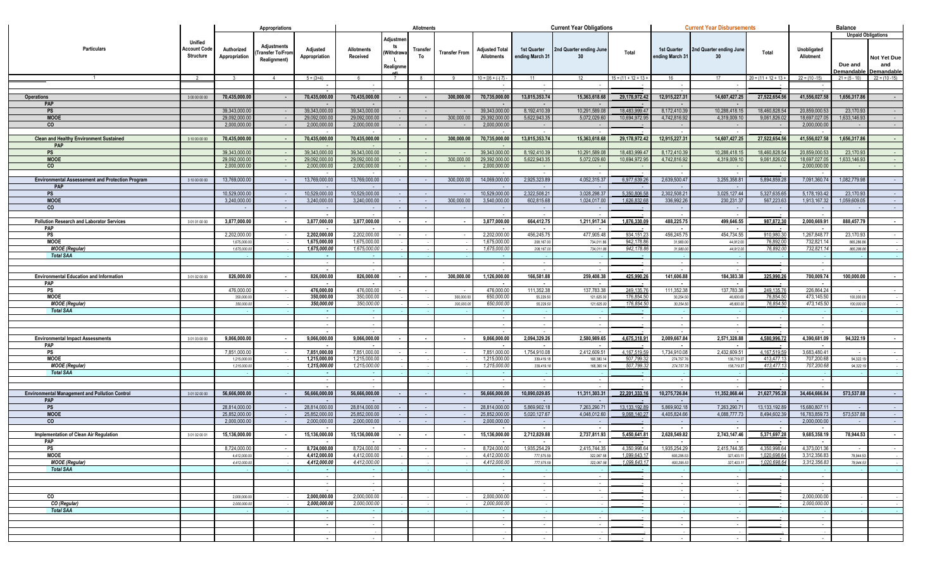|                                                         |                                                    |                             | Appropriations                                                |                                |                               |                                                | Allotments     |                      |                                              |                                | <b>Current Year Obligations</b>            |                         |                                | <b>Current Year Disbursements</b> |                        |                          | <b>Balance</b>        |                                                               |
|---------------------------------------------------------|----------------------------------------------------|-----------------------------|---------------------------------------------------------------|--------------------------------|-------------------------------|------------------------------------------------|----------------|----------------------|----------------------------------------------|--------------------------------|--------------------------------------------|-------------------------|--------------------------------|-----------------------------------|------------------------|--------------------------|-----------------------|---------------------------------------------------------------|
| Particulars                                             | Unified<br><b>Account Code</b><br><b>Structure</b> | Authorized<br>Appropriation | <b>Adjustments</b><br><b>Transfer To/From</b><br>Realignment) | Adjusted<br>Appropriation      | <b>Allotments</b><br>Received | Adjustmer<br>ts<br>Withdraw<br><b>Realignm</b> | Transfer<br>To | <b>Transfer From</b> | <b>Adjusted Total</b><br><b>Allotments</b>   | 1st Quarter<br>ending March 31 | 2nd Quarter ending June<br>30 <sup>°</sup> | Total                   | 1st Quarter<br>ending March 31 | 2nd Quarter ending June<br>30     | Total                  | Unobligated<br>Allotment | Due and<br>Demandable | <b>Unpaid Obligations</b><br>Not Yet Due<br>and<br>Demandable |
|                                                         |                                                    |                             | $\overline{4}$                                                | $5 = (3+4)$                    | -6                            | 7                                              | 8              | $\alpha$             | $10 = \left[\left\{6 + (-) 7\right\}\right]$ | 11                             | 12 <sup>1</sup>                            | $15 = (11 + 12 + 13 +$  | 16                             | 17                                | $20 = (11 + 12 + 13 +$ | $22 = (10 - 15)$         | $21 = (5 - 10)$       | $22 = (10 - 15)$                                              |
|                                                         |                                                    |                             |                                                               | $\blacksquare$                 |                               |                                                |                |                      |                                              |                                |                                            |                         |                                |                                   |                        |                          |                       |                                                               |
| <b>Operations</b>                                       | 3 00 00 00 00                                      | 70,435,000.00               |                                                               | 70,435,000.00                  | 70,435,000.00                 |                                                |                | 300,000.00           | 70,735,000.00                                | 13,815,353.74                  | 15,363,618.68                              | 29,178,972.42           | 12,915,227.31                  | 14,607,427.25                     | 27,522,654.56          | 41,556,027.58            | 1,656,317.86          | $\sim$                                                        |
| PAP                                                     |                                                    |                             |                                                               | $\sim$                         | $\sim$                        |                                                |                |                      |                                              |                                |                                            |                         | $\sim$                         |                                   |                        |                          |                       |                                                               |
| PS                                                      |                                                    | 39,343,000.00               |                                                               | 39,343,000.00                  | 39,343,000.00                 |                                                | $\sim$         |                      | 39,343,000.00                                | 8,192,410.39                   | 10,291,589.08                              | 18,483,999.47           | 8,172,410.39                   | 10,288,418.15                     | 18,460,828.54          | 20,859,000.53            | 23,170.93             |                                                               |
| <b>MOOE</b>                                             |                                                    | 29,092,000.0                |                                                               | 29,092,000.0                   | 29,092,000.00                 |                                                |                | 300,000.00           | 29,392,000.00                                | 5,622,943.3                    | 5,072,029.60                               | 10,694,972.9            | 4,742,816.92                   | 4,319,009.1                       | 9,061,826.02           | 18,697,027.05            | 1.633.146.93          |                                                               |
| $\overline{c}$                                          |                                                    | 2,000,000.00                |                                                               | 2,000,000.00                   | 2,000,000.00                  |                                                |                |                      | 2,000,000.00                                 |                                |                                            |                         |                                |                                   |                        | 2,000,000.0              |                       |                                                               |
| <b>Clean and Healthy Environment Sustained</b>          | 3 10 00 00 00                                      | 70,435,000.00               |                                                               | 70,435,000.00                  | 70,435,000.00                 |                                                |                | 300,000.00           | 70,735,000.00                                | 13,815,353.74                  | 15,363,618.68                              | 29,178,972.42           | 12,915,227.31                  | 14,607,427.25                     | 27,522,654.56          | 41,556,027.58            | 1,656,317.86          |                                                               |
| PAP                                                     |                                                    |                             |                                                               |                                |                               |                                                |                |                      |                                              |                                |                                            |                         |                                |                                   |                        |                          |                       |                                                               |
| <b>PS</b>                                               |                                                    | 39,343,000.0                |                                                               | 39,343,000.0                   | 39,343,000.00                 |                                                |                |                      | 39,343,000.00                                | 8,192,410.3                    | 10,291,589.08                              | 18,483,999.4            | 8,172,410.39                   | 10,288,418.1                      | 18,460,828.5           | 20,859,000.              | 23,170.93             |                                                               |
| <b>MOOE</b>                                             |                                                    | 29,092,000.00               |                                                               | 29,092,000.00                  | 29,092,000.00                 |                                                | $\sim$         | 300,000.00           | 29,392,000.00                                | 5,622,943.35                   | 5,072,029.60                               | 10,694,972.95           | 4,742,816.92                   | 4,319,009.1                       | 9,061,826.02           | 18,697,027.05            | 1,633,146.93          |                                                               |
| co                                                      |                                                    | 2.000.000.0                 |                                                               | 2,000,000.00                   | 2,000,000.00                  |                                                |                |                      | 2,000,000.00                                 |                                | - 11                                       |                         | <b>Section</b>                 |                                   | - 1                    | 2,000,000.0              |                       | $\sim$                                                        |
| <b>Environmental Assessement and Protection Program</b> | 3 10 00 00 00                                      | 13,769,000.0                |                                                               | ٠.<br>13,769,000.0             | 13,769,000.00                 |                                                |                | 300,000.0            | 14,069,000.00                                | 2,925,323.89                   | 4,052,315.37                               | 6.977.639.2             | . .<br>2.639.500.47            | 3,255,358.8                       | 5,894,859.28           | 7,091,360.74             | 1,082,779.98          |                                                               |
| PAP                                                     |                                                    |                             |                                                               |                                |                               |                                                |                |                      |                                              |                                |                                            |                         |                                |                                   |                        |                          |                       |                                                               |
| PS                                                      |                                                    | 10,529,000.0                |                                                               | 10,529,000.00                  | 10,529,000.00                 |                                                |                |                      | 10,529,000.00                                | 2,322,508.2                    | 3,028,298.37                               | 5.350.806.58            | 2,302,508.21                   | 3,025,127.44                      | 5,327,635.6            | 5,178,193.4              | 23,170.93             |                                                               |
| <b>MOOE</b>                                             |                                                    | 3,240,000.0                 |                                                               | 3,240,000.0                    | 3,240,000.00                  |                                                |                | 300,000.0            | 3,540,000.00                                 | 602,815.6                      | 1,024,017.00                               | 1.626.832.6             | 336,992.26                     | 230,231.37                        | 567,223.63             | 1,913,167.3              | 1,059,609.0           | $\sim$                                                        |
| co                                                      |                                                    |                             |                                                               |                                |                               |                                                |                |                      |                                              |                                |                                            |                         | $\sim$                         |                                   | $\sim$                 |                          |                       | $\sim$                                                        |
| <b>Pollution Research and Laborator Services</b>        | 3 01 01 00 00                                      | 3,877,000.00                |                                                               | $\sim$<br>3,877,000.00         | 3,877,000.00                  |                                                |                |                      | $\sim$<br>3,877,000.00                       | 664,412.75                     | 1,211,917.34                               | 1,876,330.09            | $\sim$<br>488,225.75           | 499,646.55                        | 987,872.30             | 2,000,669.91             | 888,457.79            | $\sim$                                                        |
| PAP                                                     |                                                    |                             |                                                               | $\sim$                         | $\sim$                        |                                                |                |                      | $\overline{\phantom{a}}$                     |                                | $\sim$                                     |                         | $\sim$                         |                                   | ٠.                     |                          |                       |                                                               |
| <b>PS</b>                                               |                                                    | 2,202,000.00                |                                                               | 2,202,000.00                   | 2,202,000.00                  |                                                |                |                      | 2,202,000.00                                 | 456,245.7                      | 477,905.48                                 | 934,151.2               | 456,245.75                     | 454,734.55                        | 910,980.30             | 1,267,848.7              | 23,170.93             |                                                               |
| <b>MOOE</b>                                             |                                                    | 1,675,000.                  |                                                               | 1,675,000.00                   | 1,675,000.0                   |                                                |                |                      | 1,675,000.00                                 | 208,167.0                      | 734,011.8                                  | 942,178.8               | 31,980.00                      | 44,912.0                          | 76,892.00              | 732,821.1                | 865,286.86            |                                                               |
| <b>MOOE</b> (Regular)                                   |                                                    | 1,675,000.0                 |                                                               | 1,675,000.00                   | 1,675,000.00                  |                                                |                |                      | 1,675,000.00                                 | 208, 167.0                     | 734,011.86                                 | 942,178.8               | 31,980.00                      | 44,912.0                          | 76,892.0               | 732,821.14               | 865,286.86            |                                                               |
| <b>Total SAA</b>                                        |                                                    |                             |                                                               | $\sim$                         | <b>.</b>                      |                                                |                |                      |                                              |                                |                                            |                         |                                |                                   |                        |                          |                       |                                                               |
|                                                         |                                                    |                             |                                                               | $\sim$<br>$\sim$               | $\sim$<br>$\sim$              |                                                |                |                      | $\sim$                                       |                                | $\sim$<br>$\sim$                           |                         | $\sim$                         |                                   |                        |                          |                       |                                                               |
| <b>Environmental Education and Information</b>          | 3 01 02 00 00                                      | 826,000.00                  |                                                               | 826,000.00                     | 826,000.00                    |                                                |                | 300,000.00           | 1,126,000.00                                 | 166,581.88                     | 259,408.38                                 | 425,990.2               | 141,606.88                     | 184,383.38                        | 325,990.20             | 700,009.74               | 100,000.00            |                                                               |
| PAP                                                     |                                                    |                             |                                                               | ٠.                             | $\sim$                        |                                                |                |                      | $\sim$                                       |                                | $\sim$                                     |                         | $\sim$                         |                                   | ٠.                     |                          |                       |                                                               |
| PS                                                      |                                                    | 476,000.00                  |                                                               | 476,000.00                     | 476,000.00                    |                                                |                |                      | 476,000,00                                   | 111,352.38                     | 137,783.38                                 | 249,135.7               | 111,352.38                     | 137,783.38                        | 249.135.76             | 226,864.2                |                       |                                                               |
| <b>MOOE</b>                                             |                                                    | 350,000.0                   |                                                               | 350,000.00<br>350,000.00       | 350,000.00<br>350,000.00      |                                                |                | 300,000.00           | 650,000.0<br>650,000.00                      | 55,229.5                       | 121,625.0                                  | 176,854.5<br>176,854.50 | 30,254.50                      | 46,600.00                         | 76,854.50<br>76.854.5  | 473,145.5                | 100,000.00            |                                                               |
| <b>MOOE</b> (Regular)<br><b>Total SAA</b>               |                                                    | 350,000.0                   |                                                               | $\sim$                         |                               |                                                |                | 300,000.0            |                                              | 55,229.5                       | 121,625.00                                 |                         | 30,254.50                      | 46,600.0                          |                        | 473,145.50               | 100,000.00            |                                                               |
|                                                         |                                                    |                             |                                                               | $\sim$                         | $\sim$                        |                                                |                |                      |                                              |                                | $\sim$                                     |                         | $\sim$                         |                                   |                        |                          |                       |                                                               |
|                                                         |                                                    |                             |                                                               |                                |                               |                                                |                |                      |                                              |                                |                                            |                         |                                |                                   |                        |                          |                       |                                                               |
|                                                         |                                                    |                             |                                                               | $\sim$                         | $\sim$                        |                                                |                |                      | $\overline{\phantom{a}}$                     |                                | $\sim$                                     |                         | $\sim$                         |                                   |                        |                          |                       |                                                               |
| <b>Environmental Impact Assessments</b>                 | 3 01 03 00 00                                      | 9,066,000.00                |                                                               | 9,066,000.00                   | 9,066,000.00                  |                                                |                |                      | 9,066,000.00                                 | 2,094,329.26                   | 2,580,989.65                               | 4,675,318.9             | 2,009,667.84                   | 2,571,328.88                      | 4.580.996.72           | 4,390,681.09             | 94,322.19             |                                                               |
| PAP<br>PS                                               |                                                    | 7,851,000.0                 |                                                               | $\blacksquare$<br>7,851,000.00 | $\sim$<br>7,851,000.00        |                                                |                |                      | $\sim$<br>7,851,000.00                       | 1,754,910.0                    | 2,412,609.51                               | 4.167.519.5             | $\sim$<br>1,734,910.08         | 2,432,609.5                       | 4.167.519.59           | 3.683.480.41             |                       |                                                               |
| <b>MOOE</b>                                             |                                                    | 1,215,000.0                 |                                                               | 1,215,000.00                   | 1,215,000.00                  |                                                |                |                      | 1,215,000.00                                 | 339,419.1                      | 168,380.1                                  | 507.799.3               | 274,757.7                      | 138,719.3                         | 413,477.13             | 707,200.68               | 94,322.19             |                                                               |
| <b>MOOE</b> (Regular)                                   |                                                    | 1,215,000.                  |                                                               | 1,215,000.00                   | 1,215,000.00                  |                                                |                |                      | 1,215,000.00                                 | 339,419.1                      | 168,380.1                                  | 507,799.3               | 274,757.7                      | 138,719.3                         | 413,477.1              | 707,200.6                | 94,322.19             |                                                               |
| <b>Total SAA</b>                                        |                                                    |                             |                                                               | $\sim$                         |                               |                                                |                |                      |                                              |                                |                                            |                         |                                |                                   |                        |                          |                       |                                                               |
|                                                         |                                                    |                             |                                                               | $\sim$                         | $\sim$                        |                                                |                |                      |                                              |                                |                                            |                         |                                |                                   |                        |                          |                       |                                                               |
| <b>Environmental Management and Pollution Control</b>   | 3 01 02 00 00                                      | 56,666,000.00               |                                                               | $\sim$<br>56,666,000.00        | 56,666,000.00                 | $\sim$                                         | $\sim$ $\sim$  |                      | 56,666,000.00                                | 10,890,029.85                  | 11,311,303.31                              | 22,201,333.16           | 10,275,726.84                  | 11,352,068.44                     | 21,627,795.28          | 34,464,666.84            | 573,537.88            | $\sim$                                                        |
| PAP                                                     |                                                    |                             |                                                               | $\sim$                         |                               |                                                |                |                      |                                              |                                | $\sim$                                     |                         | $\sim$                         |                                   |                        |                          |                       |                                                               |
| <b>PS</b>                                               |                                                    | 28,814,000.00               |                                                               | 28.814.000.00                  | 28,814,000.00                 |                                                | $\sim$         |                      | 28,814,000.00                                | 5,869,902.18                   | 7,263,290.71                               | 13.133.192.8            | 5,869,902.18                   | 7,263,290.71                      | 13.133.192.89          | 15,680,807.1             |                       |                                                               |
| <b>MOOE</b>                                             |                                                    | 25,852,000.0                |                                                               | 25,852,000.00                  | 25,852,000.00                 |                                                |                |                      | 25,852,000.00                                | 5,020,127.6                    | 4,048,012.60                               | 9,068,140.27            | 4,405,824.66                   | 4,088,777.73                      | 8,494,602.39           | 16,783,859.73            | 573,537.88            |                                                               |
| co                                                      |                                                    | 2,000,000.00                |                                                               | 2,000,000.00                   | 2,000,000.00                  |                                                |                |                      | 2,000,000.00                                 |                                |                                            |                         |                                |                                   |                        | 2,000,000.0              |                       |                                                               |
| Implementation of Clean Air Regulation                  | 3 01 02 00 01                                      | 15,136,000.00               |                                                               | 15,136,000.00                  | 15,136,000.00                 |                                                |                |                      | 15,136,000.00                                | 2,712,829.88                   | 2,737,811.93                               | 5,450,641.8             | $\sim$<br>2,628,549.82         | 2,743,147.46                      | 5,371,697.28           | 9,685,358.19             | 78,944.53             |                                                               |
| PAP                                                     |                                                    |                             |                                                               |                                |                               |                                                |                |                      |                                              |                                |                                            |                         |                                |                                   |                        |                          |                       |                                                               |
| PS                                                      |                                                    | 8,724,000.00                |                                                               | 8,724,000.00                   | 8,724,000.00                  |                                                |                |                      | 8,724,000.00                                 | 1,935,254.29                   | 2,415,744.35                               | 4,350,998.64            | 1,935,254.29                   | 2,415,744.35                      | 4.350.998.64           | 4,373,001.36             |                       |                                                               |
| MOOE                                                    |                                                    | 4,412,000.00                |                                                               | 4,412,000.00                   | 4,412,000.00                  |                                                |                |                      | 4,412,000.00                                 | 777,575.5                      | 322,067.58                                 | 1.099.643.17            | 693,295.53                     | 327,403.11                        | 1.020.698.64           | 3,312,356.83             | 78,944.53             |                                                               |
| <b>MOOE</b> (Regular)                                   |                                                    | 4,412,000.00                |                                                               | 4,412,000.00                   | 4,412,000.00                  |                                                |                |                      | 4,412,000.00                                 | 777,575.5                      | 322,067.58                                 | 1.099.643.17            | 693,295.53                     | 327,403.1                         | 1.020.698.64           | 3,312,356.83             | 78,944,53             |                                                               |
| <b>Total SAA</b>                                        |                                                    |                             |                                                               | $\sim$<br>$\sim$               | $\sim$                        |                                                |                |                      |                                              |                                | $\sim$                                     |                         |                                |                                   |                        |                          |                       |                                                               |
|                                                         |                                                    |                             |                                                               |                                | $\sim$                        |                                                |                |                      |                                              |                                |                                            |                         |                                |                                   |                        |                          |                       |                                                               |
|                                                         |                                                    |                             |                                                               | $\sim$                         | $\sim$                        |                                                |                |                      | $\sim$                                       |                                | $\sim$                                     |                         | $\sim$                         |                                   |                        | $\sim$                   |                       |                                                               |
| CO                                                      |                                                    | 2,000,000.00                |                                                               | 2,000,000.00                   | 2,000,000.00                  |                                                |                |                      | 2,000,000.00                                 |                                |                                            |                         |                                |                                   |                        | 2,000,000.00             |                       |                                                               |
| CO (Regular)                                            |                                                    | 2.000.000.00                |                                                               | 2,000,000.00                   | 2,000,000.00                  |                                                |                |                      | 2,000,000.00                                 |                                |                                            |                         |                                |                                   |                        | 2,000,000.00             |                       |                                                               |
| <b>Total SAA</b>                                        |                                                    |                             |                                                               | $\sim$                         | $\sim$                        |                                                |                |                      | - 1                                          |                                |                                            |                         |                                |                                   |                        |                          |                       |                                                               |
|                                                         |                                                    |                             |                                                               | $\sim$<br>$\sim$               | $\sim$<br>$\sim 10^{-1}$      |                                                |                |                      | $\sim$<br>$\sim$ $-$                         | $\sim$<br>$\sim$               | $\sim$<br>$\sim$                           |                         | $\sim$<br>$\sim$ $-$           |                                   |                        | $\sim$<br>$\sim$         |                       |                                                               |
|                                                         |                                                    |                             |                                                               |                                |                               |                                                |                |                      |                                              |                                |                                            |                         |                                |                                   |                        |                          |                       |                                                               |
|                                                         |                                                    |                             |                                                               |                                |                               |                                                |                |                      |                                              |                                |                                            |                         |                                |                                   |                        |                          |                       |                                                               |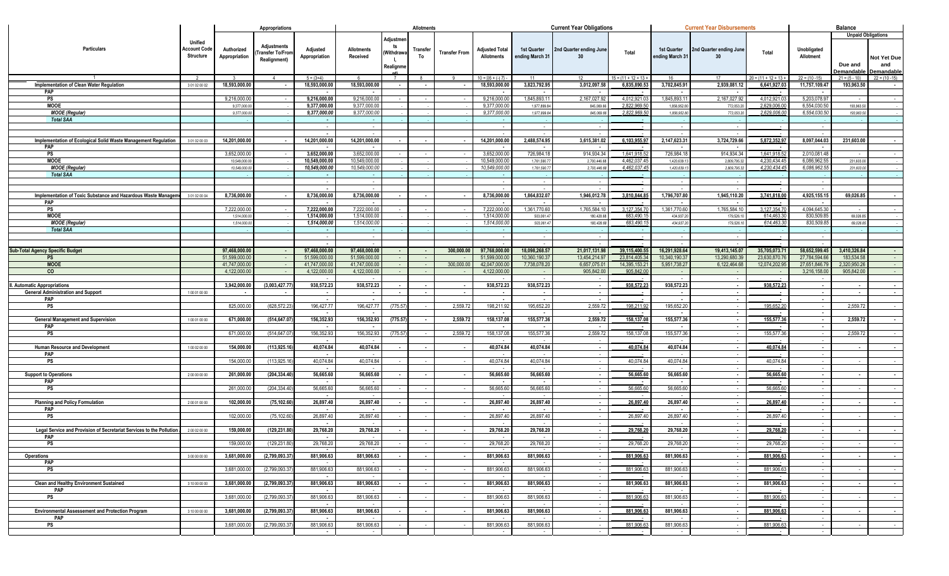|                                                                      |                                             |                             | Appropriations                                         |                              |                               |                                        | <b>Allotments</b> |                      |                                     |                                | <b>Current Year Obligations</b>            |                           |                                | <b>Current Year Disbursements</b>          |                          |                            | <b>Balance</b>              |                                                               |
|----------------------------------------------------------------------|---------------------------------------------|-----------------------------|--------------------------------------------------------|------------------------------|-------------------------------|----------------------------------------|-------------------|----------------------|-------------------------------------|--------------------------------|--------------------------------------------|---------------------------|--------------------------------|--------------------------------------------|--------------------------|----------------------------|-----------------------------|---------------------------------------------------------------|
| Particulars                                                          | Unified<br><b>Account Code</b><br>Structure | Authorized<br>Appropriation | Adjustments<br><b>Fransfer To/Fror</b><br>Realignment) | Adjusted<br>Appropriation    | Allotments<br>Received        | Adjustme<br>ts<br>Withdraw<br>Realignm | Transfer<br>To    | <b>Transfer From</b> | <b>Adjusted Total</b><br>Allotments | 1st Quarter<br>ending March 31 | 2nd Quarter ending June<br>30 <sup>°</sup> | Total                     | 1st Quarter<br>ending March 31 | 2nd Quarter ending June<br>30              | Total                    | Unobligated<br>Allotment   | Due and<br><b>Demandabl</b> | <b>Unpaid Obligations</b><br>Not Yet Due<br>and<br>Demandable |
|                                                                      |                                             |                             | $\overline{4}$                                         | $5 = (3+4)$                  |                               | $\overline{7}$                         |                   |                      | $10 =$ $[(6 + (-) 7)]$              | -11                            | 12 <sup>°</sup>                            | $15 = (11 + 12 + 13 +$    | 16                             | 17                                         | $20 = (11 + 12 + 13 +$   | $22 = (10 - 15)$           | $21 = (5 - 10)$             | $22 = (10 - 15)$                                              |
| Implementation of Clean Water Regulation<br>PAP                      | 3 01 02 00 02                               | 18,593,000.00               |                                                        | 18,593,000.00                | 18,593,000.00                 | $\sim$                                 |                   |                      | 18,593,000.00                       | 3,823,792.95                   | 3,012,097.58                               | 6,835,890.53              | 3,702,845.91                   | 2,939,081.12                               | 6,641,927.03             | 11,757,109.47              | 193,963.50                  |                                                               |
| PS                                                                   |                                             | 9,216,000.0                 |                                                        | 9,216,000.00                 | 9,216,000.00                  |                                        |                   |                      | 9,216,000.00                        | 1,845,893.1                    | 2,167,027.92                               | 4.012.921.0               | 1,845,893.1                    | 2,167,027.9                                | 4.012.921.0              | 5,203,078.9                |                             |                                                               |
| <b>MOOE</b>                                                          |                                             | 9,377,000.0                 |                                                        | 9,377,000.00                 | 9,377,000.00                  |                                        |                   |                      | 9,377,000.00                        | 1,977,899.8                    | 845,069.6                                  | 2.822.969.50              | 1,856,952.8                    | 772,053.2                                  | 2,629,006.0              | 6,554,030.50               | 193,963.50                  |                                                               |
| <b>MOOE</b> (Regular)                                                |                                             | 9,377,000.0                 |                                                        | 9,377,000.00                 | 9,377,000.0                   |                                        |                   |                      | 9,377,000.00                        | 1,977,899.8                    | 845,069.66                                 | 2,822,969.5               | 1,856,952.8                    | 772,053.2                                  | 2,629,006.0              | 6,554,030.50               | 193,963.50                  |                                                               |
| <b>Total SAA</b>                                                     |                                             |                             |                                                        | $\sim$                       |                               |                                        |                   |                      |                                     |                                |                                            |                           |                                |                                            |                          |                            |                             |                                                               |
|                                                                      |                                             |                             |                                                        | $\sim$                       | $\sim$                        |                                        |                   |                      | $\sim$                              |                                | $\sim$                                     |                           |                                |                                            |                          |                            |                             |                                                               |
|                                                                      |                                             |                             |                                                        | $\sim$                       | $\sim$                        |                                        |                   |                      | $\overline{\phantom{a}}$            |                                |                                            |                           | $\sim$                         |                                            |                          |                            |                             |                                                               |
| Implementation of Ecological Solid Waste Management Regulation       | 3 01 02 00 03                               | 14,201,000.00               |                                                        | 14,201,000.00                | 14,201,000.00                 |                                        |                   |                      | 14,201,000.00                       | 2,488,574.95                   | 3,615,381.02                               | 6,103,955.9               | 2,147,623.31                   | 3,724,729.66                               | 5,872,352.97             | 8,097,044.03               | 231,603.00                  | $\sim$                                                        |
| <b>PAP</b><br>PS                                                     |                                             | 3,652,000.0                 |                                                        | $\sim$<br>3,652,000.00       | $\sim$<br>3,652,000.0         |                                        |                   |                      | $\sim$<br>3,652,000.00              | 726,984.1                      | $\overline{\phantom{a}}$<br>914,934.34     | 1.641.918.5               | $\sim$<br>726,984.1            | 914,934.34                                 | 1,641,918.5              | 2,010,081.48               |                             |                                                               |
| <b>MOOE</b>                                                          |                                             | 10,549,000.0                |                                                        | 10,549,000.00                | 10,549,000.00                 |                                        |                   |                      | 10,549,000.00                       | 1,761,590.7                    | 2,700,446.6                                | 4,462,037.4               | 1,420,639.1                    | 2,809,795.3                                | 4,230,434.4              | 6,086,962.5                | 231,603.00                  |                                                               |
| <b>MOOE</b> (Regular)                                                |                                             | 10,549,000.0                |                                                        | 10,549,000.00                | 10,549,000.00                 |                                        |                   |                      | 10,549,000.00                       | 1,761,590.7                    | 2,700,446.68                               | 4,462,037.45              | 1,420,639.1                    | 2,809,795.3                                | 4,230,434.4              | 6,086,962.5                | 231,603.00                  |                                                               |
| <b>Total SAA</b>                                                     |                                             |                             |                                                        |                              |                               |                                        |                   |                      |                                     |                                |                                            |                           |                                |                                            |                          |                            |                             |                                                               |
|                                                                      |                                             |                             |                                                        | $\sim$                       | $\sim$                        |                                        |                   |                      | $\sim$                              |                                | $\sim$                                     |                           | $\sim$                         |                                            |                          |                            |                             |                                                               |
|                                                                      |                                             |                             |                                                        | $\sim$                       |                               |                                        |                   |                      |                                     |                                |                                            |                           | $\sim$                         |                                            |                          |                            |                             |                                                               |
| Implementation of Toxic Substance and Hazardous Waste Managem        | 3 01 02 00 04                               | 8,736,000.00                |                                                        | 8,736,000.00                 | 8,736,000.00                  |                                        |                   |                      | 8,736,000.00                        | 1,864,832.07                   | 1,946,012.78                               | 3,810,844.85              | 1,796,707.80                   | 1,945,110.20                               | 3,741,818.00             | 4,925,155.15               | 69,026.85                   | $\sim$                                                        |
| PAP                                                                  |                                             |                             |                                                        |                              | $\sim$                        |                                        |                   |                      | $\sim$                              |                                | $\sim$                                     |                           | $\sim$                         |                                            |                          |                            |                             |                                                               |
| PS<br><b>MOOE</b>                                                    |                                             | 7,222,000.0<br>1,514,000.0  |                                                        | 7,222,000.00<br>1,514,000.00 | 7,222,000.00<br>1,514,000.00  |                                        |                   |                      | 7,222,000.00<br>1,514,000.00        | 1,361,770.60<br>503,061.4      | 1,765,584.10<br>180,428.68                 | 3,127,354.7<br>683,490.1  | 1,361,770.60<br>434,937.20     | 1,765,584.1<br>179,526.1                   | 3,127,354.7<br>614.463.3 | 4,094,645.30<br>830,509.85 | 69,026.85                   |                                                               |
| <b>MOOE</b> (Regular)                                                |                                             | 1,514,000.0                 |                                                        | 1,514,000.00                 | 1,514,000.00                  |                                        |                   |                      | 1,514,000.00                        | 503,061.4                      | 180,428.68                                 | 683,490.1                 | 434,937.2                      | 179,526.1                                  | 614,463.3                | 830,509.8                  | 69,026.85                   |                                                               |
| <b>Total SAA</b>                                                     |                                             |                             |                                                        | $\sim$                       |                               |                                        |                   |                      |                                     |                                |                                            |                           |                                |                                            |                          |                            |                             |                                                               |
|                                                                      |                                             |                             |                                                        |                              |                               |                                        |                   |                      |                                     |                                |                                            |                           |                                |                                            |                          |                            |                             |                                                               |
|                                                                      |                                             |                             |                                                        | $\sim$                       |                               |                                        |                   |                      |                                     |                                |                                            |                           |                                |                                            |                          |                            |                             |                                                               |
| <b>Sub-Total Agency Specific Budget</b>                              |                                             | 97,468,000.0                |                                                        | 97,468,000.00                | 97,468,000.00                 |                                        |                   | 300,000.0            | 97,768,000.00                       | 18,098,268.57                  | 21,017,131.98                              | 39,115,400.5              | 16,291,928.64                  | 19,413,145.0                               | 35,705,073.7             | 58,652,599.45              | 3,410,326.84                |                                                               |
| <b>PS</b>                                                            |                                             | 51,599,000.0                |                                                        | 51,599,000.0                 | 51,599,000.00                 |                                        | $\sim$            |                      | 51,599,000.00                       | 10,360,190.3                   | 13,454,214.97                              | 23,814,405.3              | 10,340,190.37                  | 13,290,680.3                               | 23,630,870.7             | 27,784,594.66              | 183,534.58                  | $\sim$                                                        |
| <b>MOOE</b><br>co                                                    |                                             | 41.747.000.<br>4,122,000.0  |                                                        | 41.747.000.0                 | 41,747,000.00<br>4,122,000.00 |                                        |                   | 300,000.0            | 42,047,000.00                       | 7,738,078.2                    | 6,657,075.01<br>905,842.00                 | 14.395.153.2<br>905,842.0 | 5,951,738.27                   | 6,122,464.68                               | 12,074,202.9             | 27,651,846.7               | 2,320,950.26<br>905,842.00  | $\sim$<br>$\sim$                                              |
|                                                                      |                                             |                             |                                                        | 4,122,000.00                 |                               |                                        |                   |                      | 4,122,000.00                        |                                |                                            |                           | $\sim$<br>$\sim$ $\sim$        |                                            | ٠.                       | 3,216,158.00               |                             |                                                               |
| II. Automatic Appropriations                                         |                                             | 3,942,000.00                | (3,003,427.7)                                          | 938,572.23                   | 938,572.23                    |                                        |                   |                      | 938,572.23                          | 938,572.23                     | $\sim$                                     | 938,572.23                | 938,572.23                     | $\blacksquare$                             | 938,572.23               | $\sim$                     |                             | $\sim$                                                        |
| <b>General Administration and Support</b>                            | 100010000                                   |                             |                                                        | $\sim$                       | $\blacksquare$                |                                        |                   |                      | $\sim$                              |                                | $\sim$                                     |                           | $\sim$                         |                                            |                          | $\sim$                     |                             | $\sim$                                                        |
| PAP                                                                  |                                             |                             |                                                        | $\sim$                       |                               |                                        |                   |                      |                                     |                                | $\sim$                                     |                           | $\sim$                         |                                            |                          | $\sim$                     |                             |                                                               |
| PS                                                                   |                                             | 825,000.0                   | (628,572.2)                                            | 196,427.77                   | 196,427.77                    | (775.57                                |                   | 2,559.72             | 198,211.92                          | 195,652.20                     | 2,559.72                                   | 198,211.92                | 195,652.20                     |                                            | 195.652.2                |                            | 2.559.72                    |                                                               |
|                                                                      |                                             |                             |                                                        | $\sim$                       |                               |                                        |                   |                      | $\sim$                              |                                | $\sim$                                     |                           | $\sim$                         |                                            |                          | $\sim$                     |                             |                                                               |
| <b>General Management and Supervision</b><br>PAP                     | 100010000                                   | 671,000.00                  | (514,647.07                                            | 156,352.93<br>$\sim$         | 156,352.93<br>$\sim$          | (775.57)                               |                   | 2,559.72             | 158,137.08<br>$\sim$                | 155,577.36                     | 2,559.72<br>$\sim$ $-$                     | 158,137.08                | 155,577.36<br>$\sim$           | $\overline{\phantom{a}}$                   | 155,577.3                | $\sim$<br>$\sim$           | 2,559.72                    | $\sim$                                                        |
| <b>PS</b>                                                            |                                             | 671,000.00                  | (514,647.07                                            | 156,352.93                   | 156,352.93                    | (775.57                                |                   | 2,559.72             | 158,137.08                          | 155,577.36                     | 2,559.72                                   | 158,137.08                | 155,577.36                     |                                            | 155,577.36               | $\sim$                     | 2,559.72                    | $\sim$                                                        |
|                                                                      |                                             |                             |                                                        | $\sim$                       |                               |                                        |                   |                      |                                     |                                |                                            |                           |                                |                                            |                          |                            |                             |                                                               |
| Human Resource and Development                                       | 100020000                                   | 154,000.0                   | (113, 925.1)                                           | 40,074.84                    | 40,074.84                     |                                        |                   |                      | 40,074.84                           | 40,074.84                      | $\sim$                                     | 40,074.84                 | 40,074.84                      |                                            | 40,074.84                | $\blacksquare$             |                             |                                                               |
| PAP                                                                  |                                             |                             |                                                        | $\sim$                       |                               |                                        |                   |                      |                                     |                                | $\sim$                                     |                           | $\sim$                         |                                            |                          | $\sim$                     |                             |                                                               |
| PS                                                                   |                                             | 154,000.0                   | (113, 925.1)                                           | 40,074.84                    | 40,074.84                     |                                        |                   |                      | 40,074.84                           | 40,074.84                      |                                            | 40,074.84                 | 40,074.84                      |                                            | 40,074.84                |                            |                             |                                                               |
| <b>Support to Operations</b>                                         | 200000000                                   | 261,000.0                   | (204,334.40                                            | $\sim$<br>56,665.60          | 56,665.60                     |                                        |                   |                      | 56,665.60                           | 56,665.60                      | $\sim$<br>$\sim$                           | 56,665.60                 | 56,665.60                      |                                            | 56.665.60                | $\sim$<br>$\sim$           |                             | $\sim$                                                        |
| PAP                                                                  |                                             |                             |                                                        | $\sim$                       | $\sim$                        |                                        |                   |                      | $\sim$                              |                                | $\sim$                                     |                           | $\sim$                         |                                            |                          | $\sim$                     |                             |                                                               |
| <b>PS</b>                                                            |                                             | 261,000.0                   | (204, 334.4)                                           | 56,665.60                    | 56,665.60                     |                                        |                   |                      | 56,665.60                           | 56,665.60                      | $\sim$                                     | 56,665,60                 | 56,665.60                      |                                            | 56,665.6                 | $\sim$                     |                             | $\sim$                                                        |
|                                                                      |                                             |                             |                                                        | $\blacksquare$               |                               |                                        |                   |                      |                                     |                                |                                            |                           |                                |                                            |                          |                            |                             |                                                               |
| <b>Planning and Policy Formulation</b>                               | 200010000                                   | 102,000.00                  | (75, 102.60)                                           | 26,897.40                    | 26,897.40                     |                                        |                   |                      | 26,897.40                           | 26,897.40                      | $\sim$                                     | 26,897.40                 | 26,897.40                      |                                            | 26,897.40                | $\sim$                     |                             |                                                               |
| PAP                                                                  |                                             |                             |                                                        |                              |                               |                                        |                   |                      |                                     |                                | $\sim$                                     |                           |                                |                                            |                          |                            |                             |                                                               |
| PS                                                                   |                                             | 102,000.0                   | (75, 102.60)                                           | 26,897.40                    | 26,897.40                     |                                        |                   |                      | 26,897.40                           | 26,897.40                      |                                            | 26,897.40                 | 26,897.40                      |                                            | 26,897.40                |                            |                             |                                                               |
| Legal Service and Provision of Secretariat Services to the Pollution | 2 00 02 00 00                               | 159,000.00                  | (129,231.80                                            | 29,768.20                    | 29,768.20                     |                                        |                   |                      | 29,768.20                           | 29,768.20                      | $\sim$                                     | 29,768.20                 | 29,768.20                      |                                            | 29,768.20                | $\sim$                     |                             | $\sim$                                                        |
| PAP                                                                  |                                             |                             |                                                        |                              |                               |                                        |                   |                      |                                     |                                |                                            |                           |                                |                                            |                          |                            |                             |                                                               |
| PS                                                                   |                                             | 159,000.00                  | (129,231.80)                                           | 29,768.20                    | 29,768.20                     |                                        |                   |                      | 29,768.20                           | 29,768.20                      |                                            | 29,768.20                 | 29,768.20                      |                                            | 29,768.20                |                            |                             |                                                               |
|                                                                      |                                             |                             |                                                        |                              |                               |                                        |                   |                      |                                     |                                |                                            |                           |                                |                                            |                          |                            |                             |                                                               |
| <b>Operations</b><br>PAP                                             | 3 00 00 00 00                               | 3,681,000.00                | (2,799,093.37)                                         | 881,906.63                   | 881,906.63                    |                                        |                   |                      | 881,906.63                          | 881,906.63                     | $\sim$                                     | 881,906.63                | 881,906.63                     |                                            | 881,906.63               |                            |                             |                                                               |
| PS                                                                   |                                             | 3,681,000.00                | (2,799,093.37)                                         | 881,906.63                   | 881,906.63                    |                                        |                   |                      | 881,906.63                          | 881,906.63                     |                                            | 881,906.63                | 881,906.63                     |                                            | 881.906.63               |                            |                             |                                                               |
|                                                                      |                                             |                             |                                                        | $\sim$                       | $\sim$                        |                                        |                   |                      | $\sim$                              |                                | $\sim$                                     |                           | $\sim$ 10 $\mu$                |                                            |                          | $\sim$                     |                             |                                                               |
| <b>Clean and Healthy Environment Sustained</b>                       | 3 10 00 00 00                               | 3,681,000.00                | (2,799,093.37)                                         | 881,906.63                   | 881,906.63                    | $\sim$                                 | $\sim$            | $\sim$               | 881,906.63                          | 881,906.63                     | $\sim$                                     | 881,906.63                | 881,906.63                     | $\sim$                                     | 881,906.63               | $\sim$                     |                             | $\sim$                                                        |
| <b>PAP</b>                                                           |                                             |                             |                                                        | $\sim$                       | $\sim$                        |                                        |                   |                      | $\sim$                              |                                | $\sim$                                     |                           | $\sim$ 10 $\mu$                | $\sim$                                     |                          | $\sim$                     |                             |                                                               |
| <b>PS</b>                                                            |                                             | 3,681,000.00                | (2,799,093.37                                          | 881,906.63                   | 881,906.63                    |                                        |                   |                      | 881,906.63                          | 881,906.63                     | $\sim$                                     | 881,906.63                | 881,906.63                     |                                            | 881,906.63               |                            |                             |                                                               |
|                                                                      |                                             |                             |                                                        | $\sim$<br>881,906.63         |                               |                                        |                   |                      |                                     |                                | $\sim$                                     | 881,906.63                |                                |                                            | 881,906.63               |                            |                             |                                                               |
| <b>Environmental Assessement and Protection Program</b><br>PAP       | 3 10 00 00 00                               | 3,681,000.00                | (2,799,093.37                                          | $\sim$                       | 881,906.63                    |                                        |                   |                      | 881,906.63                          | 881,906.63                     | $\sim$<br>$\sim$                           |                           | 881,906.63<br>$\sim$           | $\blacksquare$<br>$\overline{\phantom{a}}$ |                          | $\sim$<br>$\sim$           |                             |                                                               |
| PS                                                                   |                                             | 3,681,000.00                | (2,799,093.37                                          | 881,906.63                   | 881,906.63                    |                                        |                   |                      | 881,906.63                          | 881,906.63                     |                                            | 881,906.63                | 881,906.63                     |                                            | 881.906.63               |                            |                             |                                                               |
|                                                                      |                                             |                             |                                                        | $\sim$ $-$                   | $\sim$ $-$                    |                                        |                   |                      | $\sim$                              | $\sim$ 100 $\mu$               | $\sim$                                     |                           | $\sim$ $\sim$                  | $\sim$                                     |                          | $\sim$                     |                             |                                                               |
|                                                                      |                                             |                             |                                                        |                              |                               |                                        |                   |                      |                                     |                                |                                            |                           |                                |                                            |                          |                            |                             |                                                               |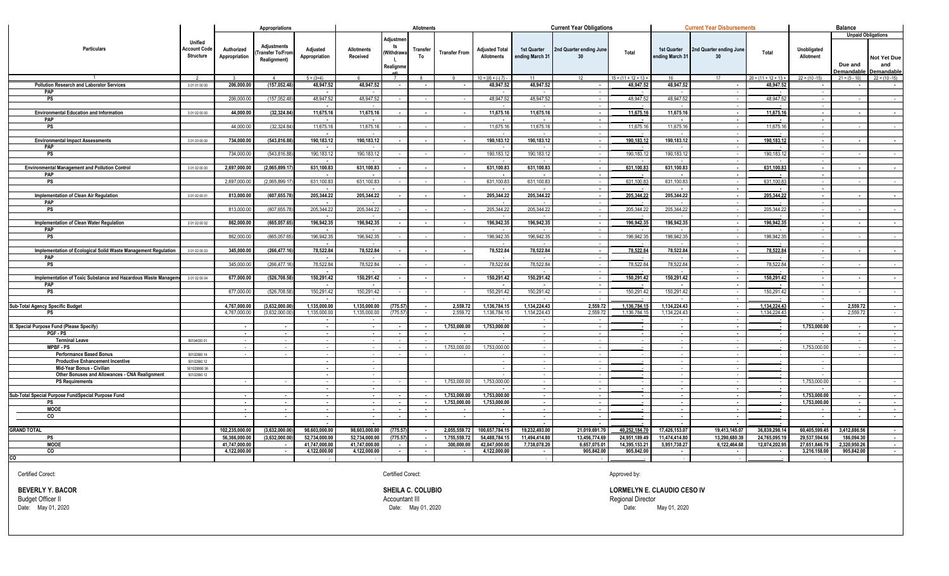|                                                                             |                                                    |                             | Appropriations                                |                              |                               |                                          | <b>Allotments</b>        |                      |                                            |                                | <b>Current Year Obligations</b> |                             |                                | <b>Current Year Disbursements</b> |                              |                          | <b>Balance</b>                           |                                                      |
|-----------------------------------------------------------------------------|----------------------------------------------------|-----------------------------|-----------------------------------------------|------------------------------|-------------------------------|------------------------------------------|--------------------------|----------------------|--------------------------------------------|--------------------------------|---------------------------------|-----------------------------|--------------------------------|-----------------------------------|------------------------------|--------------------------|------------------------------------------|------------------------------------------------------|
| Particulars                                                                 | Unified<br><b>Account Code</b><br><b>Structure</b> | Authorized<br>Appropriation | <b>Adjustments</b><br><b>Transfer To/Fror</b> | Adjusted<br>Appropriation    | <b>Allotments</b><br>Received | Adiustme<br>ts<br>Withdraw               | Transfer<br>To           | <b>Transfer From</b> | <b>Adjusted Total</b><br><b>Allotments</b> | 1st Quarter<br>ending March 31 | 2nd Quarter ending June<br>30   | Total                       | 1st Quarter<br>ending March 31 | 2nd Quarter ending June<br>30     | Total                        | Unobligated<br>Allotment | <b>Unpaid Obligations</b>                |                                                      |
|                                                                             |                                                    |                             | Realignment)                                  | $5 = (3+4)$                  |                               | Ш.<br><b>Realignme</b><br>$\overline{7}$ | $\mathbf{R}$             |                      | $10 = 1(6 + (-17) -$                       |                                |                                 | $15 = (11 + 12 + 13 +$      |                                |                                   | $20 = (11 + 12 + 13 +$       | $22 = (10 - 15)$         | Due and<br>Demandable<br>$21 = (5 - 10)$ | Not Yet Due<br>and<br>Demandable<br>$22 = (10 - 15)$ |
| <b>Pollution Research and Laborator Services</b>                            | 3 01 01 00 00                                      | 206,000.00                  | (157, 052.48)                                 | 48,947.52                    | 48,947.52                     | $\sim$                                   | $\sim$                   | $\sim$               | 48,947.52                                  | 48,947.52                      | $\sim$                          | 48,947.52                   | 48,947.52                      | $\sim$                            | 48,947.52                    | $\sim$                   |                                          | $\sim$                                               |
| PAP                                                                         |                                                    |                             |                                               |                              |                               |                                          |                          |                      |                                            |                                |                                 |                             |                                |                                   |                              |                          |                                          |                                                      |
| <b>PS</b>                                                                   |                                                    | 206,000.0                   | (157, 052.48)                                 | 48,947.52                    | 48.947.52                     |                                          |                          |                      | 48.947.52                                  | 48,947.52                      |                                 | 48.947.52                   | 48.947.52                      |                                   | 48.947.5                     |                          |                                          | $\sim$                                               |
|                                                                             |                                                    |                             |                                               | $\sim$                       |                               |                                          |                          |                      |                                            |                                | $\sim$                          |                             |                                |                                   |                              | $\sim$                   |                                          |                                                      |
| <b>Environmental Education and Information</b>                              | 3 01 02 00 00                                      | 44.000.00                   | (32.324.84)                                   | 11.675.16                    | 11.675.16                     |                                          | $\sim$                   | $\sim$               | 11.675.16                                  | 11.675.16                      | $\sim$                          | 11.675.16                   | 11.675.16                      | $\sim$                            | 11.675.16                    | $\sim$                   | $\overline{\phantom{a}}$                 | $\sim 10^{-1}$                                       |
| PAP                                                                         |                                                    |                             |                                               | $\sim$                       | $\sim$                        |                                          |                          |                      | $\sim$                                     | $\sim$                         | $\sim$                          |                             | $\sim$                         |                                   |                              | $\sim$                   |                                          |                                                      |
| PS                                                                          |                                                    | 44,000.0                    | (32, 324.84)                                  | 11,675.16                    | 11,675.16                     |                                          |                          |                      | 11,675.16                                  | 11,675.16                      | $\sim$                          | 11,675.1                    | 11,675.16                      | $\sim$                            | 11,675.1                     | $\sim$                   |                                          | $\sim$                                               |
| <b>Environmental Impact Assessments</b>                                     | 3 01 03 00 00                                      | 734.000.00                  | (543,816.88                                   | $\sim$<br>190.183.12         | 190.183.12                    |                                          |                          |                      | 190.183.12                                 | 190.183.12                     | $\sim$<br>$\sim$                | 190,183.12                  | 190.183.12                     | $\blacksquare$                    | 190,183.12                   | $\sim$<br>$\sim$         |                                          | $\sim$                                               |
| <b>PAP</b>                                                                  |                                                    |                             |                                               | $\blacksquare$               |                               |                                          |                          |                      |                                            |                                |                                 |                             |                                |                                   |                              |                          |                                          |                                                      |
| PS                                                                          |                                                    | 734,000.0                   | (543, 816.8)                                  | 190,183.12                   | 190,183.12                    |                                          |                          |                      | 190,183.12                                 | 190,183.1                      | $\sim$                          | 190,183.1                   | 190,183.12                     |                                   | 190,183.12                   | $\sim$                   |                                          | <b>Service</b>                                       |
|                                                                             |                                                    |                             |                                               | $\sim$                       |                               |                                          |                          |                      | $\sim$                                     |                                | $\sim$                          |                             | $\sim$                         | $\overline{\phantom{a}}$          |                              | $\sim$                   |                                          |                                                      |
| <b>Environmental Management and Pollution Control</b>                       | 3 01 02 00 00                                      | 2,697,000.00                | (2,065,899.1)                                 | 631,100.83                   | 631,100.83                    |                                          |                          |                      | 631,100.83                                 | 631,100.83                     | $\sim$                          | 631,100.83                  | 631,100.83                     | $\blacksquare$                    | 631,100.83                   | $\sim$                   |                                          | $\sim$                                               |
| PAP                                                                         |                                                    |                             |                                               | $\blacksquare$               |                               |                                          |                          |                      |                                            |                                | $\sim$                          |                             |                                |                                   |                              | $\sim$                   |                                          |                                                      |
| <b>PS</b>                                                                   |                                                    | 2,697,000.00                | (2,065,899.1)                                 | 631,100.83                   | 631,100.83                    |                                          |                          |                      | 631,100.83                                 | 631.100.83                     | $\sim$                          | 631,100.8                   | 631.100.83                     |                                   | 631.100.83                   | $\sim$                   |                                          | <b>Contract Contract</b>                             |
| <b>Implementation of Clean Air Regulation</b>                               | 3 01 02 00 01                                      | 813,000.0                   | (607,655.7)                                   | $\sim$<br>205,344.22         | $\sim$<br>205,344.22          |                                          |                          |                      | $\sim$<br>205,344.22                       | 205,344.22                     | $\sim$                          | 205,344.22                  | $\sim$<br>205,344.22           | $\blacksquare$                    | 205,344.22                   | $\sim$<br>$\sim$         |                                          |                                                      |
| PAP                                                                         |                                                    |                             |                                               | $\sim$                       | $\sim$                        |                                          |                          |                      | $\sim$                                     |                                | $\sim$<br>$\sim$                |                             | $\sim$                         |                                   |                              | $\sim$                   |                                          | $\sim$                                               |
| PS                                                                          |                                                    | 813,000.0                   | (607, 655.7)                                  | 205,344.22                   | 205.344.22                    |                                          |                          |                      | 205.344.22                                 | 205,344.22                     | $\sim$                          | 205,344.22                  | 205,344.22                     |                                   | 205,344.22                   | $\sim$                   |                                          | $\sim$                                               |
|                                                                             |                                                    |                             |                                               | $\sim$                       |                               |                                          |                          |                      |                                            |                                |                                 |                             |                                |                                   |                              |                          |                                          |                                                      |
| Implementation of Clean Water Regulation                                    | 3 01 02 00 02                                      | 862.000.00                  | (665, 057.65)                                 | 196,942.35                   | 196,942.35                    |                                          |                          |                      | 196,942.35                                 | 196,942.35                     | $\sim$                          | 196.942.35                  | 196,942.35                     |                                   | 196.942.35                   | $\sim$                   |                                          | $\sim$                                               |
| PAP                                                                         |                                                    |                             |                                               | $\sim$                       |                               |                                          |                          |                      | $\sim$                                     |                                | $\sim$                          |                             | $\sim$                         |                                   |                              | $\sim$                   |                                          |                                                      |
| <b>PS</b>                                                                   |                                                    | 862,000.0                   | (665, 057.65)                                 | 196,942.35                   | 196,942.35                    |                                          |                          |                      | 196,942.35                                 | 196,942.35                     |                                 | 196,942.35                  | 196,942.35                     |                                   | 196,942.3                    |                          |                                          | $\sim$                                               |
|                                                                             |                                                    |                             |                                               |                              |                               |                                          |                          |                      |                                            |                                | $\sim$                          |                             |                                |                                   |                              |                          |                                          |                                                      |
| Implementation of Ecological Solid Waste Management Regulation<br>PAP       | 3 01 02 00 03                                      | 345,000.00                  | (266,477.16                                   | 78,522.84<br>$\sim$          | 78,522.84<br>$\sim$           |                                          |                          |                      | 78,522.84                                  | 78,522.84                      | $\sim$<br>$\sim$                | 78,522.84                   | 78,522.84<br>$\sim$            | $\overline{\phantom{a}}$          | 78,522.84                    | $\sim$<br>$\sim$         |                                          | $\sim$ 100 $\mu$                                     |
| <b>PS</b>                                                                   |                                                    | 345,000.0                   | (266.477.1                                    | 78.522.84                    | 78.522.84                     |                                          |                          |                      | 78.522.84                                  | 78.522.84                      |                                 | 78,522.84                   | 78.522.84                      |                                   | 78.522.84                    |                          |                                          | $\sim$                                               |
|                                                                             |                                                    |                             |                                               | $\sim$                       |                               |                                          |                          |                      |                                            |                                |                                 |                             |                                |                                   |                              |                          |                                          |                                                      |
| Implementation of Toxic Substance and Hazardous Waste Managem               | 3 01 02 00 04                                      | 677,000.00                  | (526,708.58                                   | 150,291.42                   | 150,291.42                    |                                          |                          | $\sim$               | 150,291.42                                 | 150,291.42                     | $\sim$                          | 150,291.42                  | 150,291.42                     | $\sim$                            | 150,291.42                   | $\sim$                   |                                          | $\sim$                                               |
| <b>PAP</b>                                                                  |                                                    |                             |                                               | $\sim$                       | $\sim$                        |                                          |                          |                      | $\overline{\phantom{a}}$                   |                                | $\sim$                          |                             | $\sim$                         | $\sim$                            |                              | $\sim$                   |                                          |                                                      |
| <b>PS</b>                                                                   |                                                    | 677.000.0                   | (526,708.58                                   | 150,291.42                   | 150,291.42                    |                                          |                          |                      | 150,291.42                                 | 150,291.42                     |                                 | 150,291.42                  | 150,291.42                     |                                   | 150,291.42                   |                          |                                          | $\sim$                                               |
|                                                                             |                                                    |                             |                                               | $\sim$                       |                               |                                          |                          |                      | $\overline{\phantom{a}}$                   |                                | $\sim$                          |                             | $\sim$                         | $\sim$                            |                              | $\sim$                   |                                          |                                                      |
| Sub-Total Agency Specific Budget<br>PS                                      |                                                    | 4.767.000.00<br>4.767.000.0 | (3,632,000.00)<br>(3.632.000.0                | 1,135,000.00<br>1.135.000.00 | 1,135,000.00<br>1,135,000.00  | (775.57<br>(775.5)                       |                          | 2.559.72<br>2.559.72 | 1,136,784.15<br>1,136,784.15               | 1,134,224.43<br>1,134,224.43   | 2.559.72<br>2,559.72            | 1.136.784.15<br>1.136.784.1 | 1,134,224.43<br>1,134,224.43   | $\sim$                            | 1.134.224.43<br>1.134.224.43 | $\sim$                   | 2.559.72<br>2.559.72                     | $\sim$                                               |
|                                                                             |                                                    |                             |                                               | $\sim$                       |                               |                                          |                          |                      |                                            |                                |                                 |                             |                                |                                   |                              |                          |                                          | $\sim$                                               |
| III. Special Purpose Fund (Please Specify)                                  |                                                    |                             |                                               | $\sim$                       | $\sim$                        |                                          |                          | 1.753.000.0          | 1,753,000.00                               |                                | $\sim$                          |                             | $\sim$                         | $\overline{\phantom{a}}$          | $\sim$                       | 1.753.000.00             |                                          | $\sim 10^{-1}$                                       |
| PGF - PS                                                                    |                                                    | $\sim$                      | $\sim$                                        | $\sim$                       | $\sim$                        | $\sim$                                   | $\overline{\phantom{a}}$ | $\sim$               | $\sim$                                     | $\sim$                         | $\sim$                          |                             | $\sim$                         | $\overline{\phantom{a}}$          |                              | $\sim$                   |                                          | $\sim$                                               |
| <b>Terminal Leave</b>                                                       | 50104030 01                                        |                             |                                               | $\sim$                       |                               |                                          |                          |                      |                                            |                                |                                 |                             | $\sim$                         |                                   |                              |                          |                                          | $\sim$ 100 $\pm$                                     |
| <b>MPBF-PS</b>                                                              |                                                    |                             |                                               | $\sim$                       |                               |                                          |                          | 1,753,000.0          | 1.753.000.00                               |                                |                                 |                             | $\sim$                         |                                   |                              | 1,753,000.00             |                                          | $\sim$                                               |
| <b>Performance Based Bonus</b>                                              | 50102990 14                                        |                             |                                               | $\sim$                       | $\sim$                        |                                          |                          |                      |                                            |                                |                                 |                             | $\sim$                         |                                   |                              |                          |                                          | $\sim$                                               |
| <b>Productive Enhancement Incentive</b>                                     | 50102990 12                                        |                             |                                               | $\sim$                       | $\sim$                        |                                          |                          |                      | $\sim$                                     |                                | $\sim$                          |                             | $\sim$                         |                                   |                              |                          |                                          |                                                      |
| Mid-Year Bonus - Civilian<br>Other Bonuses and Allowances - CNA Realignment | 50102999036<br>50102990 12                         |                             |                                               | $\blacksquare$<br>$\sim$     | $\sim$                        |                                          |                          |                      |                                            |                                |                                 |                             | $\sim$                         |                                   |                              |                          |                                          |                                                      |
| <b>PS Requirements</b>                                                      |                                                    |                             |                                               | $\sim$                       | $\sim$                        |                                          |                          | 1.753.000.0          | 1.753.000.00                               |                                |                                 |                             | $\sim$                         |                                   | $\sim$                       | 1.753.000.00             |                                          | $\sim$ 100 $\mu$                                     |
|                                                                             |                                                    |                             |                                               | $\blacksquare$               | $\sim$                        |                                          |                          |                      |                                            |                                |                                 |                             | $\sim$                         | $\blacksquare$                    |                              |                          |                                          |                                                      |
| Sub-Total Special Purpose FundSpecial Purpose Fund                          |                                                    |                             |                                               | $\sim$                       |                               |                                          |                          | 1,753,000.00         | 1,753,000.00                               |                                |                                 |                             | $\sim$                         |                                   |                              | 1,753,000.00             |                                          | $\sim$                                               |
| PS                                                                          |                                                    |                             | $\sim$                                        | $\sim$                       | $\sim$                        | $\overline{\phantom{a}}$                 |                          | 1,753,000.00         | 1,753,000.00                               | $\sim$                         | $\sim$                          |                             | $\sim$                         | $\sim$                            |                              | 1,753,000.00             |                                          | $\sim$                                               |
| <b>MOOE</b>                                                                 |                                                    |                             | $\blacksquare$                                | $\sim$                       | $\sim$                        | $\sim$                                   |                          |                      | $\sim$                                     | $\sim$                         | $\sim$                          |                             | $\sim$                         | $\blacksquare$                    |                              | $\sim$                   |                                          | $\sim$                                               |
| CO                                                                          |                                                    |                             | $\sim$                                        | $\sim$<br>$\sim$             | $\sim$<br>$\sim$              |                                          |                          |                      | $\blacksquare$<br>$\sim$                   | $\overline{\phantom{a}}$       | $\sim$<br>$\sim$                |                             | $\sim$<br>$\sim$               | $\blacksquare$                    |                              | $\sim$<br>$\sim$         |                                          | $\sim$                                               |
| <b>GRAND TOTAL</b>                                                          |                                                    | 102,235,000.00              | (3,632,000.00)                                | 98,603,000.00                | 98,603,000.00                 | (775.57)                                 | $\sim$                   | 2,055,559.72         | 100,657,784.15                             | 19,232,493.00                  | 21,019,691.70                   | 40,252,184.70               | 17,426,153.07                  | 19,413,145.07                     | 36,839,298.14                | 60,405,599.45            | 3.412.886.56                             | $\sim$                                               |
| <b>PS</b>                                                                   |                                                    | 56,366,000.00               | (3.632.000.0                                  | 52,734,000.00                | 52,734,000.00                 | (775.57                                  |                          | 1,755,559.72         | 54,488,784.15                              | 11.494.414.80                  | 13,456,774.69                   | 24,951,189.49               | 11.474.414.80                  | 13,290,680.39                     | 24,765,095.19                | 29,537,594.66            | 186.094.30                               | $\sim$                                               |
| <b>MOOE</b>                                                                 |                                                    | 41.747.000.00               |                                               | 41.747.000.00                | 41.747.000.00                 | $\sim$                                   |                          | 300.000.00           | 42.047.000.00                              | 7,738,078.20                   | 6.657.075.01                    | 14,395,153.21               | 5,951,738.27                   | 6.122.464.68                      | 12,074,202.95                | 27,651,846.79            | 2.320.950.26                             | $\sim$                                               |
| CO                                                                          |                                                    | 4,122,000.00                |                                               | 4,122,000.00                 | 4,122,000.00                  |                                          |                          |                      | 4,122,000.00                               |                                | 905.842.00                      | 905,842.00                  |                                |                                   |                              | 3,216,158.00             | 905,842.00                               | $\sim$                                               |
| $\overline{\text{co}}$                                                      |                                                    |                             |                                               |                              |                               |                                          |                          |                      |                                            |                                |                                 |                             |                                |                                   |                              |                          |                                          |                                                      |

Certified Corect: Certified Corect: Approved by:

Accountant III<br>Date: May 01, 2020

**BEVERLY Y. BACOR SHEILA C. COLUBIO SHEILA C. COLUBIO LORMELYN E. CLAUDIO CESO IV**<br> **Budget Officer II** Regional Director **Proposed and Secundiant III Proposed and Secundiant III Proposed and Secundiant III Pro** Date: May 01, 2020 Date: May 01, 2020 Date: May 01, 2020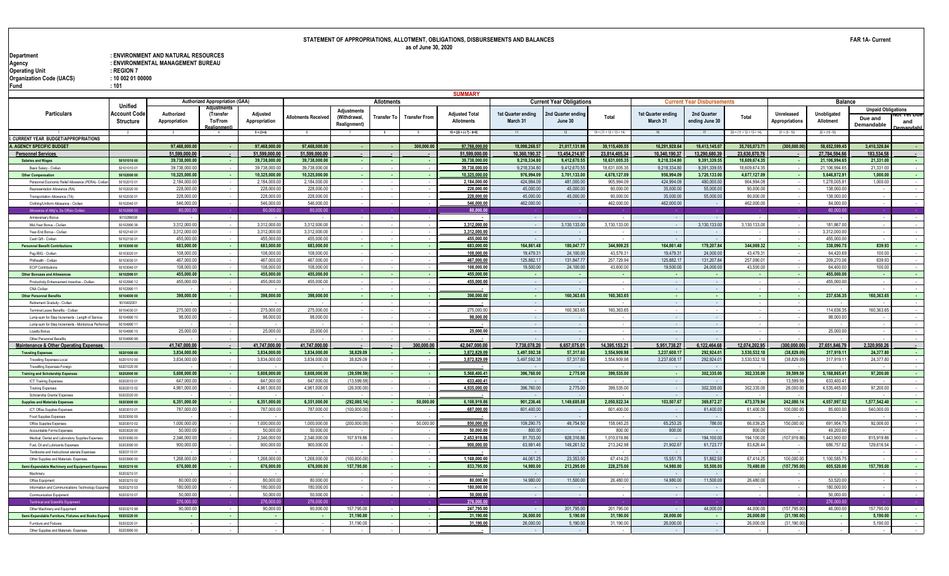| Department               | : ENVIRONMENT AND NATURAL RESOURCES |
|--------------------------|-------------------------------------|
| Agency                   | : ENVIRONMENTAL MANAGEMENT BUREAU   |
| Operating Unit           | $:$ REGION 7                        |
| Organization Code (UACS) | : 100020100000                      |
| - -                      |                                     |

|                                                                             |                            |                             |                                       |                           |                            |                    |                    |                      | <b>SUMMARY</b>                             |                                |                                 |                            |                                |                                   |                            |                              |                           |                           |                       |
|-----------------------------------------------------------------------------|----------------------------|-----------------------------|---------------------------------------|---------------------------|----------------------------|--------------------|--------------------|----------------------|--------------------------------------------|--------------------------------|---------------------------------|----------------------------|--------------------------------|-----------------------------------|----------------------------|------------------------------|---------------------------|---------------------------|-----------------------|
|                                                                             | <b>Unified</b>             |                             | <b>Authorized Appropriation (GAA)</b> |                           |                            |                    | <b>Allotments</b>  |                      |                                            |                                | <b>Current Year Obligations</b> |                            |                                | <b>Current Year Disbursements</b> |                            |                              | <b>Balance</b>            |                           |                       |
| <b>Particulars</b>                                                          |                            |                             |                                       |                           |                            | <b>Adjustments</b> |                    |                      |                                            |                                |                                 |                            |                                |                                   |                            |                              |                           | <b>Unpaid Obligations</b> |                       |
|                                                                             | Account Code               | Authorized<br>Appropriation | (Transfer<br>To/From                  | Adjusted<br>Appropriation | <b>Allotments Received</b> | (Withdrawal,       | <b>Transfer To</b> | <b>Transfer From</b> | <b>Adjusted Total</b><br><b>Allotments</b> | 1st Quarter ending<br>March 31 | Ind Quarter endinc<br>June 30   | Total                      | 1st Quarter ending<br>March 31 | 2nd Quarter<br>ending June 30     | Total                      | Unreleased<br>Appropriations | Unobligated<br>Allotment  | Due and                   | ot fet Due            |
|                                                                             | Structure                  |                             | ealignment                            |                           |                            | Realignment)       |                    |                      |                                            |                                |                                 |                            |                                |                                   |                            |                              |                           | Demandable                | and<br><b>mandahl</b> |
|                                                                             |                            |                             |                                       | $5 = (3+4)$               |                            |                    | 8                  |                      | $10 = [{6 + (-7) - 8 + 9}]$                |                                | 12                              | $15 = (11 + 12 + 13 + 14)$ |                                |                                   | $20 = (11 + 12 + 13 + 14)$ | $21 = (5 - 10)$              | $22 = (10 - 15)$          |                           |                       |
| I. CURRENT YEAR BUDGET/APPROPRIATIONS                                       |                            |                             |                                       |                           |                            |                    |                    |                      |                                            |                                |                                 |                            |                                |                                   |                            |                              |                           |                           |                       |
| <b>AGENCY SPECIFIC BUDGET</b>                                               |                            | 97.468.000.0                |                                       | 97.468.000.0              | 97.468.000.0               |                    |                    | 300.000.00           | 97,768,000.                                | 18.098.268.5                   | 21.017.131.9                    | 39,115,400.55              | 16,291,928.64                  | 19.413.145.0                      | 35,705,073.71              | (300, 000.0)                 | 58.652.599.4              | 3.410.326.84              |                       |
| <b>Personnel Services</b>                                                   |                            | 51.599.000.00               |                                       | 51.599.000.0              | 51.599.000.0               |                    |                    |                      | 51.599.000.0                               | 10,360,190.3                   | 13.454.214.9                    | 23.814.405.34              | 10,340,190.3                   | 13.290.680.39                     | 23.630.870.76              | . .                          | 27,784,594.6              | 183.534.58                |                       |
| <b>Salaries and Wages</b>                                                   | 50101010 00                | 39,738,000.00               |                                       | 39,738,000.00             | 39,738,000.00              |                    |                    |                      | 39,738,000.0                               | 9,218,334.80                   | 9,412,670.5                     | 18,631,005.35              | 9,218,334.80                   | 9,391,339.55                      | 18,609,674.35              |                              | 21,106,994.6              | 21,331.00                 |                       |
| Basic Salary - Civilia                                                      | 5010101001                 | 39,738,000.0                |                                       | 39,738,000.0              | 39,738,000.0               |                    |                    |                      | 39,738,000.0                               | 9,218,334.8                    | 9,412,670.5                     | 18,631,005.3               | 9,218,334.8                    | 9,391,339.5                       | 18,609,674.35              |                              | 21,106,994.6              | 21,331.0                  |                       |
| <b>Other Compensation</b>                                                   | 50102000 00                | 10,325,000.00               |                                       | 10,325,000.00             | 10,325,000.00              |                    |                    | $\sim$               | 10,325,000.0                               | 976,994.09                     | 3,701,133.00                    | 4,678,127.09               | 956,994.09                     | 3,720,133.00                      | 4,677,127.09               | - 1                          | 5,646,872.91              | 1.000.00                  | na.                   |
| Personnel Fconomic Relief Allowance (PFRA)- Civili                          | 50102010 01                | 2.184.000.00                |                                       | 2.184.000.0               | 2.184.000.0                |                    |                    |                      | 2,184,000.0                                | 424.994.09                     | 481.000.0                       | 905,994.09                 | 424,994.09                     | 480,000.00                        | 904,994.09                 | $\sim$                       | 1,278,005.9               | 1.000.00                  | $\sim$                |
| Representation Allowance (RA                                                | 50102020 00                | 228,000.0                   |                                       | 228,000.0                 | 228,000.0                  |                    |                    |                      | 228,000.0                                  | 45,000.00                      | 45,000.0                        | 90,000.00                  | 35,000.00                      | 55,000.00                         | 90,000.00                  |                              | 138,000.0                 |                           |                       |
| Transportation Allowance (TA)                                               | 50102030 01                | 228,000.0                   |                                       | 228,000.0                 | 228,000.0                  |                    |                    |                      | 228,000.0                                  | 45,000.00                      | 45,000.0                        | 90,000.0                   | 35,000.00                      | 55,000.00                         | 90,000.0                   |                              | 138,000.0                 |                           |                       |
| Clothing/Uniform Allowance - Civilian                                       | 50102040 01                | 546,000.00                  |                                       | 546,000.00                | 546,000.0                  |                    |                    |                      | 546,000.00                                 | 462,000.00                     |                                 | 462,000.00                 | 462,000.00                     |                                   | 462,000.00                 |                              | 84,000.00                 |                           |                       |
| Allowance of Attty's. De Officio Civilia                                    | 5010299003                 | 60,000.0                    |                                       | 60,000.                   | 60,000.0                   |                    |                    |                      | 60,000.00                                  |                                |                                 |                            |                                |                                   |                            |                              | 60,000.0                  |                           |                       |
| Annieversary Bonus                                                          | 5010299038                 |                             |                                       |                           |                            |                    |                    |                      |                                            |                                |                                 |                            |                                |                                   |                            |                              |                           |                           |                       |
| Mid-Year Bonus - Civilian                                                   | 5010299036                 | 3,312,000.0                 |                                       | 3,312,000.00              | 3,312,000.0                |                    |                    |                      | 3,312,000.0                                |                                | 3,130,133.0                     | 3,130,133.0                | . п.                           | 3,130,133.00                      | 3,130,133.00               |                              | 181,867.0                 |                           |                       |
| Year-End Bonus - Civilian                                                   | 50102140 01                | 3,312,000.0                 |                                       | 3,312,000.0               | 3,312,000.0                |                    |                    |                      | 3,312,000.0                                |                                |                                 |                            |                                |                                   |                            |                              | 3,312,000.0               |                           |                       |
| Cash Gift - Civilian                                                        | 5010215001                 | 455,000.0                   |                                       | 455,000.00                | 455,000.0                  |                    |                    |                      | 455,000.0                                  |                                |                                 |                            |                                |                                   |                            |                              | 455,000.00                |                           |                       |
| <b>Personnel Benefit Contributions</b>                                      | 50103000 00                | 683.000.00                  |                                       | 683,000.00                | 683,000.00                 |                    |                    | $\sim$               | 683,000.00                                 | 164,861.48                     | 180.047.77                      | 344.909.25                 | 164.861.48                     | 179,207.84                        | 344.069.32                 | - 1                          | 338,090.75                | 839.93                    | $\sim$                |
| Pag-IBIG - Civilian                                                         | 50103020 01                | 108,000.00                  |                                       | 108,000.00                | 108.000.0                  |                    |                    |                      | 108,000.0                                  | 19,479.3                       | 24,100.0                        | 43,579.3                   | 19,479.3                       | 24,000.00                         | 43,479.3                   |                              | 64,420.69                 | 100.00                    |                       |
| Philhealth - Civilia                                                        | 50103030.01                | 467.000.0                   |                                       | 467.000.0                 | 467.000.0                  |                    |                    |                      | 467,000.0                                  | 125,882.1                      | 131,847.7                       | 257.729.94                 | 125,882.1                      | 131,207.84                        | 257.090.0                  |                              | 209.270.0                 | 639.93                    |                       |
| <b>ECIP Contribution</b>                                                    | 50103040.01                | 108,000.0                   |                                       | 108,000.00                | 108,000.0                  |                    |                    |                      | 108,000.0                                  | 19,500.00                      | 24,100.00                       | 43,600.00                  | 19,500.00                      | 24,000.00                         | 43,500.00                  |                              | 64,400.00                 | 100.00                    |                       |
| Other Bonuses and Allowanc                                                  | 50102990 01                | 455,000.00                  |                                       | 455,000.00                | 455.000.0                  |                    |                    | <b>.</b>             | 455,000.0                                  |                                |                                 |                            |                                |                                   |                            | - 1                          | 455,000.00                |                           |                       |
| Productivity Enhancement Incentive - Civilian                               | 50102990 12                | 455,000.00                  |                                       | 455,000.00                | 455,000.00                 |                    |                    |                      | 455,000.00                                 |                                |                                 |                            | $\sim$                         |                                   |                            |                              | 455,000.00                |                           |                       |
| CNA Civilian                                                                | 50102990 11                |                             |                                       |                           |                            |                    |                    |                      |                                            |                                |                                 |                            |                                |                                   |                            |                              |                           |                           |                       |
| <b>Other Personnel Benefits</b>                                             | 50104000 00                | 398,000.0                   |                                       | 398,000.00                | 398,000.00                 |                    |                    |                      | 398,000.0                                  |                                | 160,363.65                      | 160,363.65                 |                                |                                   |                            |                              | 237,636.35                | 160,363.65                |                       |
| Retirement Graduity - Civilian                                              | 5010402001                 |                             |                                       |                           |                            |                    |                    |                      |                                            |                                |                                 |                            |                                |                                   |                            |                              |                           |                           |                       |
| Terminal Leave Benefits - Civilia                                           | 50104030.01                | 275,000.00                  |                                       | 275,000.00                | 275,000.00                 |                    |                    |                      | 275,000.0                                  |                                | 160,363.6                       | 160.363.65                 |                                |                                   |                            |                              | 114,636.35                | 160.363.65                |                       |
| Lump-sum for Step Increments - Length of Service                            | 50104990 10                | 98,000.0                    |                                       | 98,000.00                 | 98,000.00                  |                    |                    |                      | 98,000.00                                  |                                |                                 |                            |                                |                                   |                            |                              | 98,000.0                  |                           |                       |
| Lump-sum for Step Increments - Moritorious Perforn                          | 50104990 11                |                             |                                       |                           |                            |                    |                    |                      |                                            |                                |                                 |                            |                                |                                   |                            |                              |                           |                           |                       |
| ovalty Bonus                                                                | 50104990 15                | 25,000.0                    |                                       | 25,000.00                 | 25,000.0                   |                    |                    |                      | 25,000.0                                   |                                |                                 |                            |                                |                                   |                            |                              | 25,000.0                  |                           |                       |
| Other Personnel Benefits                                                    | 50104990 99                |                             |                                       |                           |                            |                    |                    |                      |                                            |                                |                                 |                            |                                |                                   |                            |                              |                           |                           |                       |
| Maintenance & Other Operating Expenses                                      |                            | 41.747.000.00               |                                       | 41.747.000.00             | 41.747.000.0               |                    |                    | 300.000.00           | 42.047.000.0                               | 7.738.078.2                    | 6.657.075.0                     | 14.395.153.21              | 5,951,738.27                   | 6.122.464.68                      | 12.074.202.95              | (300.000.00                  | 27.651.846.79             | 2.320.950.26              |                       |
| <b>Traveling Expenses</b>                                                   | 50201000 00                | 3,834,000.00                |                                       | 3,834,000.00              | 3,834,000.00               | 38,829.09          |                    | <b>.</b>             | 3,872,829.0                                | 3,497,592.3                    | 57,317.60                       | 3,554,909.98               | 3,237,608.1                    | 292,924.01                        | 3,530,532.18               | (38, 829.09)                 | 317,919.1                 | 24,377.80                 |                       |
| Travelling Expenses-Local                                                   | 5020101000                 | 3,834,000.0                 |                                       | 3,834,000.0               | 3,834,000.0                | 38,829.09          |                    |                      | 3,872,829.09                               | 3,497,592.38                   | 57,317.60                       | 3,554,909.98               | 3,237,608.17                   | 292,924.0                         | 3,530,532.18               | (38, 829.09)                 | 317,919.1                 | 24,377.8                  |                       |
| Travellling Expenses-Foreign                                                | 50201020.00                |                             |                                       |                           |                            |                    |                    |                      |                                            |                                |                                 |                            |                                |                                   |                            |                              |                           |                           |                       |
| <b>Training and Scholarship Expenses</b>                                    | 50202000 00                | 5,608,000.00                |                                       | 5,608,000.00              | 5,608,000.00               | (39, 599.59)       |                    | - 11                 | 5,568,400.41                               | 396,760.00                     | 2,775.00                        | 399,535.00                 | - 1                            | 302,335.00                        | 302,335.00                 | 39,599.59                    | 5,168,865.41              | 97,200.00                 | na.                   |
| <b>ICT Training Expenses</b>                                                | 50202010 01                | 647,000.0                   |                                       | 647,000.0                 | 647,000.0                  | (13,599.5)         |                    |                      | 633,400.41                                 |                                |                                 |                            |                                |                                   |                            | 13,599.5                     | 633,400.4                 |                           |                       |
| <b>Training Expenses</b>                                                    | 50202010 02                | 4.961.000.0                 |                                       | 4.961.000.0               | 4.961.000.0                | (26,000.0)         |                    |                      | 4,935,000.0                                | 396,760.00                     | 2,775.00                        | 399.535.0                  |                                | 302.335.00                        | 302.335.00                 | 26,000.0                     | 4.535.465.0               | 97,200.00                 |                       |
| Scholarship Grants/ Expenses                                                | 50202020.00                |                             |                                       |                           |                            |                    |                    |                      |                                            |                                |                                 |                            |                                |                                   |                            |                              |                           |                           |                       |
| <b>Supplies and Materials Expens</b>                                        | 50203000 00                | 6,351,000.00                |                                       | 6,351,000.00              | 6,351,000.0                | (292,080.14        |                    | 50.000.00            | 6,108,919.8                                | 901,236.46                     | 1,149,685.8                     | 2,050,922.34               | 103,507.67                     | 369,872.27                        | 473,379.94                 | 242,080.1                    | 4,057,997.5               | 1.577.542.40              |                       |
| ICT Office Supplies Expenses                                                | 50203010.01                | 787,000.00                  |                                       | 787,000.00                | 787,000.00                 | (100,000.00)       |                    |                      | 687,000.00                                 | 601.400.00                     |                                 | 601,400.00                 | - 1                            | 61,400.00                         | 61,400.00                  | 100,000.00                   | 85,600.00                 | 540,000.00                |                       |
| <b>Food Supplies Expenses</b>                                               | 50203050 00                |                             |                                       |                           |                            |                    |                    |                      |                                            |                                |                                 |                            |                                |                                   |                            |                              |                           |                           |                       |
| Office Supplies Expense                                                     | 50203010 02                | 1,000,000.0                 |                                       | 1,000,000.0               | 1,000,000.0                | (200,000.0         |                    | 50,000.00            | 850,000.0                                  | 109,290.7                      | 48,754.5                        | 158,045.2                  | 65,253.25                      | 786.00                            | 66,039.2                   | 150,000.0                    | 691,954.7                 | 92,006.00                 |                       |
| Accountable Forms Expense                                                   | 50203020 00<br>50203080.00 | 50,000.0<br>2.346.000.0     |                                       | 50,000.00<br>2.346.000.0  | 50,000.0<br>2.346.000.0    | 107.919.86         |                    |                      | 50,000.0                                   | 800.00<br>81,703.00            | 928,316.86                      | 800.00<br>1,010,019.86     | 800.00                         | 194,100.00                        | 800.00<br>194.100.00       | (107,919.86                  | 49,200.00<br>1.443.900.00 | 815,919.86                |                       |
| Medical, Dental and Laboratory Supplies Expense                             | 50203090 00                | 900,000.00                  |                                       |                           | 900,000.00                 |                    |                    |                      | 2,453,919.8                                | 63,981.46                      | 149,261.52                      | 213,242.98                 | 21,902.67                      |                                   | 83,626.44                  |                              | 686,757.0                 | 129,616.54                |                       |
| Fuel, Oil and Lubricants Expenses                                           |                            |                             |                                       | 900,000.00                |                            |                    |                    |                      | 900,000.0                                  |                                |                                 |                            |                                | 61,723.77                         |                            |                              |                           |                           |                       |
| Textbooks and Instructional aterials Expenses                               | 5020311001                 | 1,268,000.0                 |                                       | 1,268,000.00              |                            | (100,000.0         |                    |                      |                                            | 44,061.2                       | 23,353.0                        |                            | 15,551.75                      | 51,862.50                         | 67,414.25                  | 100,000.0                    | 1,100,585.7               |                           |                       |
| Other Supplies and Materials Expenses                                       | 50203990 00<br>50203210 00 | 676,000.00                  |                                       | 676,000.00                | 1,268,000.0<br>676,000.00  | 157,795.00         |                    | $\sim$               | 1,168,000.0<br>833,795.00                  | 14,980.00                      | 213,295.00                      | 67,414.2<br>228,275.00     | 14,980.00                      | 55,500.00                         | 70,480.00                  | (157,795.00                  | 605,520.00                | 157,795.00                |                       |
| Semi-Expendable Machinery and Equipment Expense                             |                            |                             |                                       |                           |                            |                    |                    |                      |                                            |                                |                                 |                            |                                |                                   |                            |                              |                           |                           |                       |
| Machiner                                                                    | 5020321001<br>5020321002   | 80,000.00                   |                                       | 80,000.00                 | 80,000.00                  |                    |                    |                      | 80,000.00                                  | 14,980.00                      | 11,500.00                       | 26,480.00                  | 14,980.00                      | 11,500.00                         | 26.480.00                  |                              | 53,520.00                 |                           |                       |
| Office Foujoment                                                            |                            | 180,000.0                   |                                       | 180,000.00                | 180.000.0                  |                    |                    |                      |                                            |                                |                                 |                            |                                |                                   |                            |                              | 180,000.0                 |                           |                       |
| Information and Communications Technology Equipr<br>Communication Equipment | 5020321003<br>50203210 07  | 50,000.0                    |                                       | 50,000.00                 | 50,000.0                   |                    |                    |                      | 180,000.0<br>50,000.00                     |                                |                                 |                            |                                |                                   |                            |                              | 50,000.0                  |                           |                       |
|                                                                             |                            | 276,000.0                   |                                       | 276,000                   | 276,000.0                  |                    |                    |                      | 276,000.00                                 |                                |                                 |                            |                                |                                   |                            |                              | 276,000.0                 |                           |                       |
| <b>Technical and Scientific Equipmen</b><br>Other Machinery and Fouinment   | 50203210.99                | 90,000,00                   |                                       | 90,000.00                 | 90,000.00                  | 157,795.00         |                    |                      | 247,795.00                                 |                                | 201.795.00                      | 201.795.00                 |                                | 44.000.00                         | 44.000.00                  | (157,795.00                  | 46,000.00                 | 157.795.00                |                       |
| Semi-Expendable Furniture, Fixtures and Books Exper                         | 50203220 00                |                             |                                       |                           |                            | 31,190.00          |                    |                      | 31,190.0                                   | 26,000.00                      | 5,190.00                        | 31,190.00                  | 26,000.00                      |                                   | 26,000.00                  | (31, 190.0)                  |                           | 5,190.00                  |                       |
| Furniture and Fixtures                                                      | 50203220.01                |                             |                                       |                           |                            | 31.190.00          |                    |                      | 31,190.00                                  | 26,000.00                      | 5.190.00                        | 31,190.00                  | 26,000.00                      |                                   | 26,000.00                  | (31.190.00)                  |                           | 5.190.00                  |                       |
| Other Supplies and Materials Expenses                                       | 50203990 00                |                             |                                       |                           |                            |                    |                    |                      |                                            |                                |                                 |                            |                                |                                   |                            |                              |                           |                           |                       |
|                                                                             |                            |                             |                                       |                           |                            |                    |                    |                      |                                            |                                |                                 |                            |                                |                                   |                            |                              |                           |                           |                       |

**FAR 1A- Current**

**Fund : 101**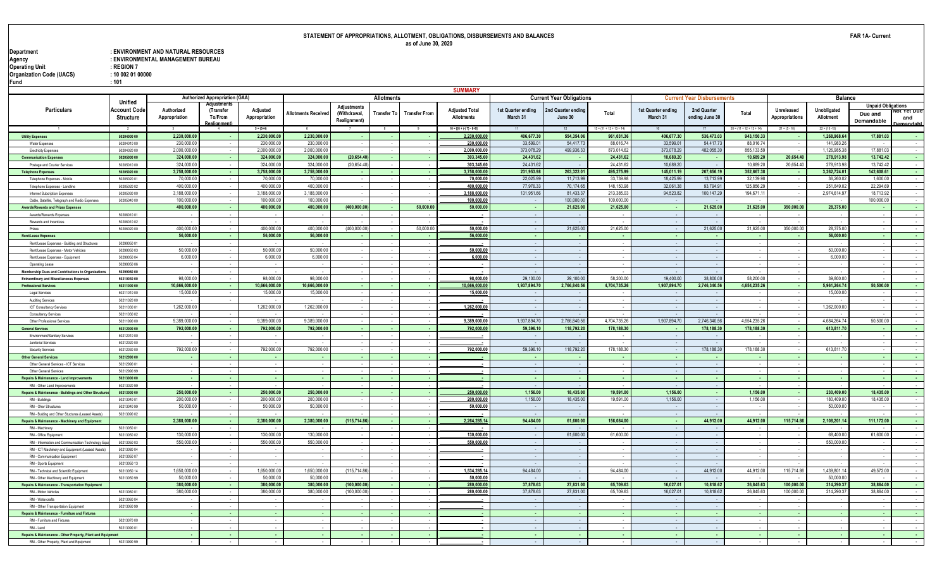| Department                      | : ENVIRONMENT AND NATURAL RESOURCES |
|---------------------------------|-------------------------------------|
| Agency                          | : ENVIRONMENTAL MANAGEMENT BUREAU   |
| Operating Unit                  | $:$ REGION 7                        |
| <b>Organization Code (UACS)</b> | : 10 002 01 00000                   |
| Fund                            | :101                                |

|                                                                         |                            |               |                                       |                           |                            |                    |                    |                      | <b>SUMMARY</b>                                                 |                                |                                 |                            |                                |                                   |                            |                 |                          |                           |               |
|-------------------------------------------------------------------------|----------------------------|---------------|---------------------------------------|---------------------------|----------------------------|--------------------|--------------------|----------------------|----------------------------------------------------------------|--------------------------------|---------------------------------|----------------------------|--------------------------------|-----------------------------------|----------------------------|-----------------|--------------------------|---------------------------|---------------|
|                                                                         | Unified                    |               | <b>Authorized Appropriation (GAA)</b> |                           |                            |                    | Allotments         |                      |                                                                |                                | <b>Current Year Obligations</b> |                            |                                | <b>Current Year Disbursements</b> |                            |                 | <b>Balance</b>           |                           |               |
| Particulars                                                             | Account Code               | Authorized    | lilistmei                             |                           |                            | <b>Adiustments</b> |                    |                      |                                                                |                                |                                 |                            |                                |                                   |                            | Unreleased      |                          | <b>Unpaid Obligations</b> |               |
|                                                                         |                            |               | (Transfer<br>To/From                  | Adjusted<br>Appropriation | <b>Allotments Receiver</b> | (Withdrawal,       | <b>Transfer To</b> | <b>Transfer From</b> | <b>Adjusted Total</b><br>Allotments                            | 1st Quarter ending<br>March 31 | 2nd Quarter ending<br>June 30   | Total                      | 1st Quarter ending<br>March 31 | 2nd Quarter                       | Total                      | Appropriations  | Unobligated<br>Allotment | Due and                   | π τετυπ       |
|                                                                         | <b>Structure</b>           | Appropriation | Realignment                           |                           |                            | Realignment)       |                    |                      |                                                                |                                |                                 |                            |                                | ending June 30                    |                            |                 |                          | Demandable                | and<br>mandah |
|                                                                         | $\overline{2}$             |               |                                       | $5 = (3+4)$               |                            |                    | $\overline{8}$     |                      | $10 = \left[\left\{6 + \left(-\right)7\right\} - 8 + 9\right]$ |                                | 12                              | $15 = (11 + 12 + 13 + 14)$ | 16                             |                                   | $20 = (11 + 12 + 13 + 14)$ | $21 = (5 - 10)$ | $22 = (10 - 15)$         |                           |               |
| <b>Utility Expenses</b>                                                 | 50204000 00                | 2.230.000.00  |                                       | 2.230.000.00              | 2.230.000.00               |                    |                    |                      | 2,230,000.00                                                   | 406.677.30                     | 554.354.06                      | 961.031.36                 | 406.677.30                     | 536.473.03                        | 943.150.33                 | - 1             | 1,268,968.64             | 17.881.03                 |               |
| Water Expenses                                                          | 50204010 00                | 230,000.0     |                                       | 230,000.0                 | 230,000.0                  |                    |                    |                      | 230,000.00                                                     | 33,599.0                       | 54,417.73                       | 88,016.74                  | 33,599.0                       | 54,417.73                         | 88,016.74                  |                 | 141,983.2                |                           |               |
| Electricity Expenses                                                    | 50204020 00                | 2,000,000.0   |                                       | 2,000,000.                | 2,000,000.0                |                    |                    |                      | 2,000,000.00                                                   | 373,078.29                     | 499,936.33                      | 873,014.62                 | 373,078.29                     | 482,055.30                        | 855, 133.59                |                 | 1,126,985.3              | 17,881.03                 |               |
| <b>Communication Expenses</b>                                           | 50205000 00                | 324.000.00    |                                       | 324.000.00                | 324.000.00                 | (20.654.40         |                    |                      | 303,345.6                                                      | 24.431.62                      |                                 | 24.431.62                  | 10.689.20                      |                                   | 10.689.20                  | 20.654.40       | 278.913.98               | 13.742.42                 |               |
| Postage and Courier Services                                            | 5020501000                 | 324,000.00    |                                       | 324,000.0                 | 324,000.0                  | (20,654.40)        |                    |                      | 303,345.60                                                     | 24,431.62                      |                                 | 24,431.62                  | 10,689.20                      |                                   | 10,689.2                   | 20,654.40       | 278,913.98               | 13,742.42                 |               |
| <b>Telephone Expenses</b>                                               | 50205020 00                | 3,758,000.00  |                                       | 3,758,000.00              | 3,758,000.00               |                    |                    | $\sim$               | 3,758,000.0                                                    | 231,953.98                     | 263,322.01                      | 495,275.99                 | 145,011.19                     | 207,656.19                        | 352,667.38                 | . .             | 3,262,724.01             | 142,608.61                | <b>Card</b>   |
| Telephone Expenses - Mobile                                             | 50205020 01                | 70,000.0      |                                       | 70,000.0                  | 70,000.0                   |                    |                    |                      | 70,000.00                                                      | 22,025.99                      | 11,713.99                       | 33,739.98                  | 18,425.99                      | 13,713.99                         | 32,139.9                   |                 | 36,260.0                 | 1.600.00                  |               |
| Telephone Expenses - Landline                                           | 50205020 02                | 400,000.00    |                                       | 400.000.00                | 400.000.00                 |                    |                    |                      | 400,000.00                                                     | 77,976.33                      | 70.174.65                       | 148.150.98                 | 32.061.38                      | 93,794.91                         | 125,856.29                 | $\sim$          | 251,849.02               | 22,294.69                 |               |
| Internet Subcription Expenses                                           | 50205030 00                | 3.188.000.00  |                                       | 3.188.000.0               | 3.188.000.0                |                    |                    |                      | 3,188,000.00                                                   | 131.951.66                     | 81.433.37                       | 213.385.03                 | 94.523.82                      | 100.147.29                        | 194.671.1                  | $\sim$          | 2.974.614.97             | 18.713.92                 |               |
| Cable, Satellite, Telegraph and Radio Expenses                          | 50205040 00                | 100,000.00    |                                       | 100,000.0                 | 100.000.0                  |                    |                    |                      | 100,000.0                                                      |                                | 100,000.00                      | 100.000.0                  |                                |                                   |                            |                 |                          | 100.000.00                |               |
| <b>Awards/Rewards and Prizes Expenses</b>                               |                            | 400,000.00    |                                       | 400,000.00                | 400,000.00                 | (400,000.00)       |                    | 50,000.00            | 50,000.00                                                      | ٠.                             | 21,625.00                       | 21,625.00                  | - 1                            | 21,625.00                         | 21,625.00                  | 350,000.00      | 28,375.00                |                           | $\sim$        |
| Awards/Rewards Expenses                                                 | 5020601001                 |               |                                       |                           |                            |                    |                    |                      | $\overline{\phantom{a}}$                                       |                                |                                 |                            | $\sim$                         |                                   |                            |                 |                          |                           |               |
| Rewards and Incentives                                                  | 50206010 02                |               |                                       |                           |                            |                    |                    |                      |                                                                |                                |                                 |                            |                                |                                   |                            |                 |                          |                           |               |
| Prizes                                                                  | 50206020 00                | 400,000.0     |                                       | 400.000.0                 | 400,000.0                  | (400,000.00)       |                    | 50,000.00            | 50,000.00                                                      |                                | 21,625.00                       | 21,625.00                  | $\sim$                         | 21,625.00                         | 21,625.00                  | 350,000.00      | 28,375.00                |                           |               |
| <b>Rent/Lease Expenses</b>                                              |                            | 56,000.00     |                                       | 56,000.00                 | 56.000.00                  |                    |                    |                      | 56,000.00                                                      |                                |                                 |                            | - 1                            |                                   |                            |                 | 56,000.00                |                           |               |
| Rent/Lease Expenses - Building and Structures                           | 50299050 01                | 50,000.00     |                                       |                           |                            |                    |                    |                      |                                                                |                                |                                 |                            | $\sim$                         |                                   |                            |                 |                          |                           |               |
| Rent/Lease Expenses - Motor Vehicles<br>Rent/Lease Expenses - Equipment | 50299050 03<br>50299050 04 | 6,000.00      |                                       | 50,000.0<br>6,000.0       | 50,000.00<br>6,000.0       |                    |                    |                      | 50,000.00<br>6,000.00                                          |                                |                                 |                            |                                |                                   |                            |                 | 50,000.0<br>6,000.0      |                           |               |
| Operating Lease                                                         | 50299050 06                |               |                                       |                           |                            |                    |                    |                      |                                                                |                                |                                 |                            |                                |                                   |                            |                 |                          |                           |               |
| Membership Dues and Contributions to Organizations                      | 50299060 00                |               |                                       |                           |                            |                    |                    |                      |                                                                |                                |                                 |                            |                                |                                   |                            |                 |                          |                           |               |
| <b>Extraordinary and Miscellaneous Expenses</b>                         | 50210030 00                | 98,000.0      |                                       | 98,000.0                  | 98,000.0                   |                    |                    |                      | 98,000.00                                                      | 29,100.00                      | 29,100.00                       | 58,200.00                  | 19,400.00                      | 38,800.0                          | 58,200.0                   |                 | 39,800.0                 |                           |               |
| <b>Professional Services</b>                                            | 50211000 00                | 10.666.000.00 |                                       | 10.666.000.00             | 10.666.000.00              |                    |                    |                      | 10,666,000.0                                                   | 1,937,894.70                   | 2,766,840.56                    | 4,704,735.26               | 1,907,894.70                   | 2.746.340.56                      | 4,654,235.26               |                 | 5,961,264.74             | 50.500.00                 |               |
| <b>Legal Services</b>                                                   | 5021101000                 | 15,000.00     |                                       | 15,000.0                  | 15,000.0                   |                    |                    |                      | 15,000.00                                                      |                                |                                 |                            |                                |                                   |                            |                 | 15,000.0                 |                           |               |
| Auditing Services                                                       | 50211020 00                |               |                                       |                           |                            |                    |                    |                      |                                                                |                                |                                 |                            |                                |                                   |                            |                 |                          |                           |               |
| <b>ICT Consultancy Services</b>                                         | 5021103001                 | 1,262,000.00  |                                       | 1,262,000.0               | 1,262,000.00               |                    |                    |                      | 1,262,000.00                                                   |                                |                                 |                            | $\sim$                         |                                   |                            |                 | 1,262,000.0              |                           |               |
| Consultancy Services                                                    | 50211030 02                |               |                                       |                           |                            |                    |                    |                      |                                                                |                                |                                 |                            |                                |                                   |                            |                 |                          |                           |               |
| Other Professional Services                                             | 50211990 00                | 9.389.000.00  |                                       | 9.389.000.0               | 9.389.000.0                |                    |                    |                      | 9,389,000.00                                                   | 1,937,894.70                   | 2.766.840.56                    | 4,704,735.26               | 1,907,894.70                   | 2,746,340.56                      | 4,654,235.26               |                 | 4,684,264.74             | 50.500.00                 |               |
| <b>General Services</b>                                                 | 50212000 00                | 792.000.00    |                                       | 792.000.00                | 792.000.00                 |                    |                    |                      | 792,000.0                                                      | 59.396.10                      | 118,792.20                      | 178,188,30                 | - 11                           | 178.188.30                        | 178.188.30                 | - 11            | 613.811.70               |                           |               |
| Environment/Sanitary Services                                           | 5021201000                 |               |                                       |                           |                            |                    |                    |                      |                                                                |                                |                                 |                            |                                |                                   |                            |                 |                          |                           |               |
| Janitorial Services                                                     | 5021202000                 |               |                                       |                           |                            |                    |                    |                      |                                                                |                                |                                 |                            | - 1                            |                                   |                            |                 |                          |                           |               |
| Security Services                                                       | 50212030 00                | 792.000.00    |                                       | 792.000.0                 | 792,000.00                 |                    |                    |                      | 792.000.00                                                     | 59,396.10                      | 118,792.20                      | 178,188,30                 | $\sim$                         | 178,188,30                        | 178.188.30                 |                 | 613.811.7                |                           |               |
| <b>Other General Services</b>                                           | 50212990 00                |               |                                       |                           |                            |                    |                    | $\sim$               |                                                                |                                |                                 |                            |                                |                                   |                            |                 |                          |                           |               |
| Other General Services - ICT Services                                   | 50212990 01                |               |                                       |                           |                            |                    |                    |                      |                                                                |                                |                                 |                            |                                |                                   |                            |                 |                          |                           |               |
| Other General Services                                                  | 50212990 99                |               |                                       |                           |                            |                    |                    |                      |                                                                |                                |                                 |                            |                                |                                   |                            |                 |                          |                           |               |
| Repairs & Maintenance - Land Improvements                               | 50213000 00                |               |                                       |                           |                            |                    |                    |                      |                                                                |                                |                                 |                            |                                |                                   |                            |                 |                          |                           |               |
| RM - Other Land Improvements                                            | 50213020.99                |               |                                       |                           |                            |                    |                    |                      |                                                                |                                |                                 |                            |                                |                                   |                            |                 |                          |                           |               |
| Repairs & Maintenance - Buildings and Other Structure                   | 50213000 00                | 250,000.00    |                                       | 250,000.00                | 250,000.00                 |                    |                    |                      | 250,000.00                                                     | 1,156.00                       | 18,435.00                       | 19,591.00                  | 1,156.00                       |                                   | 1,156.00                   | - 1             | 230,409.00               | 18.435.00                 | $\sim$        |
| RM - Buildings                                                          | 50213040 01                | 200,000.00    |                                       | 200,000.0                 | 200,000.0                  |                    |                    |                      | 200,000.00                                                     | 1,156.00                       | 18,435.00                       | 19,591.00                  | 1,156.00                       |                                   | 1,156.00                   |                 | 180.409.00               | 18,435.00                 |               |
| RM - Oher Structures                                                    | 50213040 99                | 50,000.00     |                                       | 50,000.0                  | 50,000.00                  |                    |                    |                      | 50,000.00                                                      |                                |                                 |                            |                                |                                   |                            |                 | 50,000.00                |                           |               |
| RM - Buiding and Other Stuctures (Leased Assets)                        | 50213090 02                |               |                                       |                           |                            |                    |                    |                      |                                                                |                                |                                 |                            |                                |                                   |                            |                 |                          |                           |               |
| Repairs & Maintenance - Machinery and Equipment                         | 5021305001                 | 2.380.000.00  |                                       | 2,380,000.00              | 2,380,000.00               | (115, 714.86)      |                    | $\sim$               | 2,264,285.14                                                   | 94,484.00                      | 61,600.00                       | 156,084.00                 | ۰.                             | 44,912.00                         | 44.912.00                  | 115,714.86      | 2,108,201.14             | 111,172.00                |               |
| RM - Machinery<br>RM - Office Equipment                                 | 50213050 02                | 130,000.00    |                                       | 130,000.0                 | 130,000.0                  |                    |                    |                      | 130,000.00                                                     |                                | 61,600.00                       | 61,600.00                  |                                |                                   |                            |                 | 68,400.00                | 61,600.00                 |               |
| RM - Information and Communication Technology Eq                        | 5021305003                 | 550,000.00    |                                       | 550,000.0                 | 550,000.0                  |                    |                    |                      | 550,000.00                                                     |                                |                                 |                            |                                |                                   |                            |                 | 550,000.0                |                           |               |
| RM - ICT Machinery and Equipment (Leased Assets)                        | 5021308004                 |               |                                       |                           |                            |                    |                    |                      |                                                                |                                |                                 |                            |                                |                                   |                            |                 |                          |                           |               |
| RM - Communication Equipment                                            | 50213050 07                |               |                                       |                           |                            |                    |                    |                      |                                                                |                                |                                 |                            |                                |                                   |                            |                 |                          |                           |               |
| RM - Sports Equipment                                                   | 50213050 13                |               |                                       |                           |                            |                    |                    |                      |                                                                |                                |                                 |                            |                                |                                   |                            |                 |                          |                           |               |
| RM - Technical and Scientific Equipment                                 | 5021305014                 | 1.650.000.0   |                                       | 1,650,000.0               | 1.650.000.0                | (115, 714.86)      |                    |                      | 1,534,285.14                                                   | 94,484.00                      |                                 | 94.484.0                   |                                | 44,912.00                         | 44.912.00                  | 115,714.86      | 1.439.801.1              | 49.572.00                 |               |
| RM - Other Machinery and Equipment                                      | 5021305099                 | 50,000.00     |                                       | 50,000.00                 | 50,000.0                   |                    |                    |                      | 50,000.00                                                      |                                |                                 |                            |                                |                                   |                            |                 | 50,000.00                |                           |               |
| Repairs & Maintenance - Transportation Equipment                        |                            | 380,000.00    |                                       | 380,000.00                | 380,000.00                 | (100,000.00)       |                    | $\sim$               | 280,000.0                                                      | 37,878.63                      | 27,831.00                       | 65,709.63                  | 16,027.0                       | 10,818.62                         | 26,845.63                  | 100,000.00      | 214,290.37               | 38,864.00                 | - 1           |
| RM - Motor Vehicles                                                     | 50213060 01                | 380,000.00    |                                       | 380,000.0                 | 380,000.0                  | (100,000.00)       |                    |                      | 280,000.00                                                     | 37,878.63                      | 27,831.00                       | 65,709.63                  | 16,027.0                       | 10,818.62                         | 26,845.63                  | 100,000.00      | 214,290.3                | 38,864.00                 |               |
| RM - Watercrafts                                                        | 50213060.04                |               |                                       |                           |                            |                    |                    |                      |                                                                |                                |                                 |                            |                                |                                   |                            |                 |                          |                           |               |
| RM - Other Transportation Equipment                                     | 5021306099                 |               |                                       |                           |                            |                    |                    |                      |                                                                |                                |                                 |                            |                                |                                   |                            |                 |                          |                           |               |
| Repairs & Maintenance - Furniture and Fixtures                          |                            |               |                                       |                           |                            |                    |                    |                      |                                                                |                                |                                 |                            |                                |                                   |                            |                 |                          |                           |               |
| RM - Furniture and Fixtures                                             | 50213070.00                |               |                                       |                           |                            |                    |                    |                      |                                                                |                                |                                 |                            |                                |                                   |                            |                 |                          |                           |               |
| RM - Land                                                               | 50213090 01                |               |                                       |                           |                            |                    |                    |                      |                                                                |                                |                                 |                            |                                |                                   |                            |                 |                          |                           |               |
| Repairs & Maintenance - Other Property, Plant and Equipment             |                            |               |                                       |                           |                            |                    |                    |                      |                                                                |                                |                                 | $\mathbf{r}$               |                                |                                   |                            |                 |                          |                           |               |
| RM - Other Property, Plant and Equipment                                | 50213990 99                |               |                                       |                           |                            |                    |                    |                      |                                                                |                                |                                 |                            |                                |                                   |                            |                 |                          |                           |               |

**FAR 1A- Current**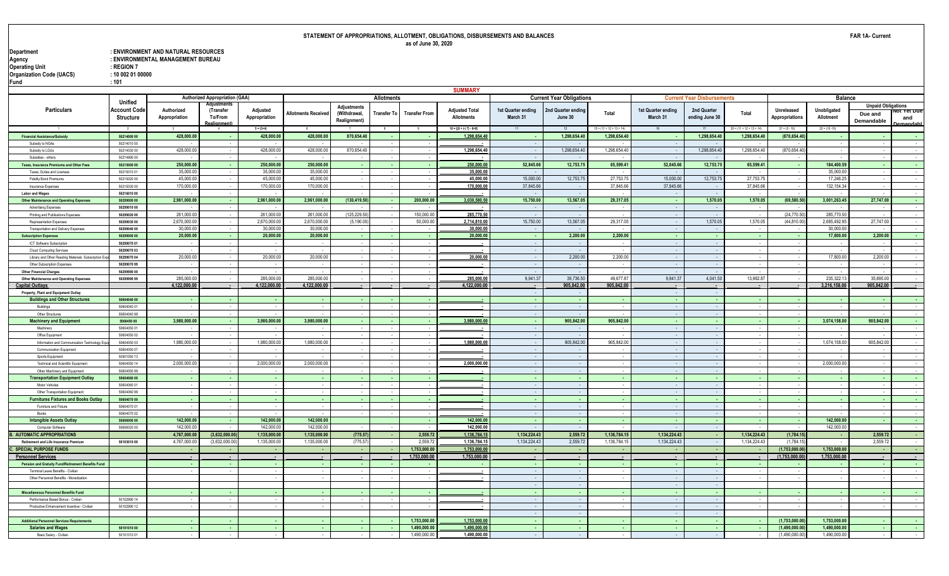| Department                      | : ENVIRONMENT AND NATURAL RESOURCES |
|---------------------------------|-------------------------------------|
| Agency                          | : ENVIRONMENTAL MANAGEMENT BUREAU   |
| Operating Unit                  | $:$ REGION 7                        |
| <b>Organization Code (UACS)</b> | : 10 002 01 00000                   |
| Fund                            | :101                                |

|                                                                                 |                            |                       |                                       |                       |                            |               |                   |                          | <b>SUMMARY</b>                                        |                                |                                 |                            |                                |                                   |                            |                    |                          |                           |                 |
|---------------------------------------------------------------------------------|----------------------------|-----------------------|---------------------------------------|-----------------------|----------------------------|---------------|-------------------|--------------------------|-------------------------------------------------------|--------------------------------|---------------------------------|----------------------------|--------------------------------|-----------------------------------|----------------------------|--------------------|--------------------------|---------------------------|-----------------|
|                                                                                 |                            |                       | <b>Authorized Appropriation (GAA)</b> |                       |                            |               | <b>Allotments</b> |                          |                                                       |                                | <b>Current Year Obligations</b> |                            |                                | <b>Current Year Disbursements</b> |                            |                    | <b>Balance</b>           |                           |                 |
|                                                                                 | <b>Unified</b>             |                       | diustments                            |                       |                            | Adjustments   |                   |                          |                                                       |                                |                                 |                            |                                |                                   |                            |                    |                          | <b>Unpaid Obligations</b> |                 |
| Particulars                                                                     | Account Code               | Authorized            | (Transfer<br>To/From                  | Adjusted              | <b>Allotments Received</b> | (Withdrawal.  | Transfer To       | <b>Transfer From</b>     | <b>Adjusted Total</b><br><b>Allotments</b>            | 1st Quarter ending<br>March 31 | 2nd Quarter ending<br>June 30   | Total                      | 1st Quarter ending<br>March 31 | 2nd Quarter<br>ending June 30     | Total                      | Unreleased         | Unobligated<br>Allotment | Due and                   | ot ret Due      |
|                                                                                 | Structure                  | Appropriation         | ealignment)                           | Appropriation         |                            | Realignment)  |                   |                          |                                                       |                                |                                 |                            |                                |                                   |                            | Appropriations     |                          | Demandable                | and<br>amandahl |
|                                                                                 |                            |                       | -4                                    | $5 = (3+4)$           |                            |               | 8                 | -9                       | $10 = \left[\left\{6 + (-1) 7\right\} - 8 + 9\right]$ |                                |                                 | $15 = (11 + 12 + 13 + 14)$ | 16                             |                                   | $20 = (11 + 12 + 13 + 14)$ | $21 = (5 - 10)$    | $22 = (10 - 15)$         |                           |                 |
| <b>Financial Assistance/Subsidy</b>                                             | 50214000 00                | 428,000.00            |                                       | 428,000.00            | 428,000.00                 | 870,654.40    |                   |                          | 1,298,654.40                                          |                                | 1,298,654.4                     | 1,298,654.40               |                                | 1,298,654.40                      | 1,298,654.40               | (870,654.40        |                          |                           |                 |
| Subsidy to NGAs                                                                 | 5021401000                 |                       |                                       |                       |                            |               |                   |                          |                                                       |                                |                                 |                            |                                |                                   |                            |                    |                          |                           |                 |
| Subsidy to LGUs                                                                 | 50214030 00                | 428,000.0             |                                       | 428,000.00            | 428,000.00                 | 870,654.40    |                   |                          | 1,298,654.40                                          |                                | 1.298.654.4                     | 1.298.654.40               | ٠.                             | 1,298,654.40                      | 1,298,654.40               | (870, 654.40)      |                          |                           |                 |
| Subsidies - others                                                              | 5021499000                 |                       |                                       |                       |                            |               |                   |                          |                                                       |                                |                                 |                            |                                |                                   |                            |                    |                          |                           |                 |
| Taxes, Insurance Premiums and Other Fees                                        | 50215000 00                | 250,000.00            |                                       | 250,000.00            | 250,000.00                 |               |                   |                          | 250,000.0                                             | 52,845.66                      | 12,753.75                       | 65,599.41                  | 52,845.66                      | 12,753.75                         | 65,599.41                  | - 1                | 184,400.59               |                           |                 |
| Taxes, Duties and Licenses                                                      | 5021501001                 | 35,000.00             |                                       | 35,000.00             | 35,000.00                  |               |                   |                          | 35,000.00                                             |                                |                                 |                            |                                |                                   |                            |                    | 35,000.00                |                           |                 |
| <b>Fidelity Bond Premiums</b>                                                   | 5021502000                 | 45,000.0              |                                       | 45,000.0              | 45,000.0                   |               |                   |                          | 45,000.00                                             | 15,000.00                      | 12,753.75                       | 27,753,75                  | 15,000.00                      | 12,753.75                         | 27,753.75                  | $\sim$             | 17,246.25                |                           |                 |
| Insurance Expenses                                                              | 50215030 00                | 170,000.0             |                                       | 170,000.0             | 170,000.0                  |               |                   |                          | 170,000.00                                            | 37,845.6                       |                                 | 37,845.66                  | 37.845.6                       |                                   | 37,845.66                  |                    | 132, 154.3               |                           |                 |
| <b>Labor and Wages</b>                                                          | 50216010 00                |                       |                                       |                       |                            |               |                   |                          |                                                       |                                |                                 |                            |                                |                                   |                            |                    |                          |                           |                 |
| <b>Other Maintenance and Operating Expenses</b>                                 | 50299000 00                | 2,961,000.00          |                                       | 2,961,000.00          | 2,961,000.00               | (130,419.50   |                   | 200,000.00               | 3,030,580.5                                           | 15,750.00                      | 13,567.05                       | 29,317.05                  | $\sim$                         | 1,570.05                          | 1,570.05                   | (69, 580.50)       | 3,001,263.45             | 27,747.00                 | $\sim$          |
| Advertising Expenses                                                            | 50299010 00                |                       |                                       |                       |                            |               |                   |                          |                                                       |                                |                                 |                            |                                |                                   |                            |                    |                          |                           |                 |
| Printing and Publications Expenses                                              | 50299020 00                | 261,000.00            |                                       | 261,000.00            | 261,000.00                 | (125, 229.50) |                   | 150,000.00               | 285,770.50                                            |                                |                                 |                            |                                |                                   |                            | (24, 770.50)       | 285,770.50               |                           |                 |
| <b>Representation Expense</b>                                                   | 50299030 00                | 2,670,000.0           |                                       | 2.670.000.0           | 2,670,000.0                | (5, 190.0     |                   | 50,000.0                 | 2,714,810.00                                          | 15,750.00                      | 13,567.0                        | 29,317.05                  | - 1                            | 1,570.05                          | 1,570.05                   | (44, 810.0)        | 2.685.492.95             | 27,747.00                 |                 |
| Transportation and Delivery Expenses                                            | 50299040 00                | 30,000.0<br>20,000.00 |                                       | 30,000.0<br>20,000.00 | 30,000.0<br>20,000.00      |               |                   |                          | 30,000.00                                             |                                | 2,200.00                        | 2,200.00                   |                                |                                   |                            |                    | 30,000.0<br>17,800.00    | 2,200.00                  |                 |
| <b>Subscription Expenses</b>                                                    | 50299000 00                |                       |                                       |                       |                            |               |                   |                          | 20,000.00                                             |                                |                                 |                            |                                |                                   |                            | - 1                |                          |                           |                 |
| ICT Software Subscription                                                       | 50299070 01<br>50299070 03 |                       |                                       |                       | и.                         |               |                   |                          |                                                       |                                |                                 |                            | - 1                            |                                   |                            |                    |                          |                           |                 |
| Cloud Computing Services<br>Library and Other Reading Materials Subscription Ex | 50299070 04                | 20,000.00             |                                       | 20,000.00             | 20,000.00                  |               |                   |                          | 20,000.00                                             |                                | 2,200.00                        | 2,200.00                   |                                |                                   |                            | ٠.                 | 17,800.00                | 2,200.00                  |                 |
| Other Subscription Expenses                                                     | 50299070 99                |                       |                                       |                       |                            |               |                   |                          |                                                       |                                |                                 |                            |                                |                                   |                            |                    |                          |                           |                 |
| <b>Other Financial Charges</b>                                                  | 50299990 00                |                       |                                       |                       |                            |               |                   |                          |                                                       |                                |                                 |                            |                                |                                   |                            |                    |                          |                           |                 |
| Other Maintenance and Operating Expenses                                        | 50299990 99                | 285,000.0             |                                       | 285,000.0             | 285,000.00                 |               |                   |                          | 285,000.00                                            | 9,941.37                       | 39,736.50                       | 49,677.87                  | 9,941.37                       | 4,041.50                          | 13,982.87                  |                    | 235,322.1                | 35,695.00                 |                 |
| <b>Capital Outlays</b>                                                          |                            | 4.122.000.00          |                                       | 4,122,000.00          | 4,122,000.00               |               | in a              |                          | 4,122,000.0                                           |                                | 905,842.00                      | 905,842.00                 | $\sim$                         |                                   |                            | $\sim$             | 3,216,158.00             | 905.842.00                |                 |
| Property, Plant and Equipment Outlay                                            |                            |                       |                                       |                       |                            |               |                   |                          |                                                       |                                |                                 |                            |                                |                                   |                            |                    |                          |                           |                 |
| <b>Buildings and Other Structures</b>                                           | 50604040 00                |                       |                                       |                       |                            |               |                   |                          |                                                       |                                |                                 |                            |                                |                                   |                            |                    |                          |                           |                 |
| Buildings                                                                       | 50604040.01                |                       |                                       |                       |                            |               |                   |                          |                                                       |                                |                                 |                            |                                |                                   |                            |                    |                          |                           |                 |
| Other Structures                                                                | 5060404099                 |                       |                                       |                       |                            |               |                   |                          |                                                       |                                |                                 |                            | $\sim$                         |                                   |                            |                    |                          |                           |                 |
| <b>Machinery and Equipment</b>                                                  | 5060450 00                 | 3,980,000.00          |                                       | 3,980,000.00          | 3,980,000.00               |               | $\sim$            |                          | 3,980,000.00                                          | $\sim$                         | 905,842.00                      | 905,842.00                 | $\sim$                         |                                   |                            | - 1                | 3,074,158.00             | 905,842.00                |                 |
| Machinery                                                                       | 50604050 01                |                       |                                       |                       |                            |               |                   |                          |                                                       |                                |                                 |                            |                                |                                   |                            |                    |                          |                           |                 |
| Office Equipment                                                                | 50604050 02                |                       |                                       |                       |                            |               |                   |                          |                                                       |                                |                                 |                            |                                |                                   |                            |                    |                          |                           |                 |
| Information and Communication Technology Eq                                     | 50604050 03                | 1,980,000.0           |                                       | 1,980,000.0           | 1,980,000.00               |               |                   |                          | 1,980,000.00                                          |                                | 905,842.00                      | 905,842.00                 |                                |                                   |                            |                    | 1,074,158.00             | 905,842.00                |                 |
| <b>Communication Equipment</b>                                                  | 50604050 07                |                       |                                       |                       |                            |               |                   |                          |                                                       |                                |                                 |                            |                                |                                   |                            |                    |                          |                           |                 |
| Sports Equipment                                                                | 50501050 13                |                       |                                       |                       |                            |               |                   |                          |                                                       |                                |                                 |                            |                                |                                   |                            |                    |                          |                           |                 |
| Technical and Scientific Equipment                                              | 50604050 14                | 2,000,000.0           |                                       | 2,000,000.0           | 2,000,000.00               |               |                   |                          | 2,000,000.00                                          |                                |                                 |                            |                                |                                   |                            |                    | 2,000,000.0              |                           |                 |
| Other Machinery and Equipment                                                   | 50604050 99                |                       |                                       |                       |                            |               |                   |                          |                                                       |                                |                                 |                            |                                |                                   |                            |                    |                          |                           |                 |
| <b>Transportation Equipment Outlay</b>                                          | 50604060 00                |                       |                                       |                       |                            |               |                   | $\overline{\phantom{a}}$ |                                                       |                                |                                 | $\sim$                     |                                |                                   |                            | . .                |                          |                           | $\sim$          |
| Motor Vehicles                                                                  | 50604060 01                |                       |                                       |                       |                            |               |                   |                          |                                                       |                                |                                 |                            |                                |                                   |                            |                    |                          |                           |                 |
| Other Transportation Equipment                                                  | 50604060 99                |                       |                                       |                       |                            |               |                   |                          |                                                       |                                |                                 |                            |                                |                                   |                            |                    |                          |                           |                 |
| <b>Furnitures Fixtures and Books Outlay</b>                                     | 50604070 00                | . .                   | $\sim$                                |                       | . .                        |               | $\mathbf{r}$      |                          |                                                       |                                |                                 | $\sim$                     | $\sim$<br>$\sim$               |                                   |                            | <b>.</b><br>$\sim$ | $\sim$                   |                           | $\sim$          |
| Furniture and Fixture                                                           | 50604070 01                |                       |                                       |                       |                            |               |                   |                          |                                                       |                                |                                 |                            |                                |                                   |                            |                    |                          |                           |                 |
| Books                                                                           | 50604070 02<br>50606000 00 | 142,000.00            |                                       | 142,000.00            | 142,000.00                 |               |                   |                          | 142,000.0                                             |                                |                                 | $\sim$                     |                                |                                   |                            | <b>.</b>           | 142,000.00               |                           | $\sim$          |
| <b>Intangible Assets Outlay</b><br>Computer Software                            | 50606020 00                | 142,000.0             |                                       | 142,000.0             | 142,000.0                  |               |                   |                          | 142,000.00                                            |                                | n.                              |                            |                                |                                   |                            | $\sim$             | 142,000.0                |                           | $\sim$          |
| <b>B. AUTOMATIC APPROPRIATIONS</b>                                              |                            | 4,767,000.0           | (3,632,000.00)                        | 1,135,000.00          | 1,135,000.00               | (775.57       | $\sim$            | 2,559.72                 | 1,136,784.15                                          | 1,134,224.43                   | 2,559.72                        | 1,136,784.15               | 1,134,224.43                   | <b>Card</b>                       | 1,134,224.43               | (1,784.15)         |                          | 2,559.72                  | $\sim$          |
| <b>Retirement and Life Insurance Premium</b>                                    | 50103010 00                | 4,767,000.0           | (3,632,000.0)                         | 1,135,000.0           | 1,135,000.0                | (775.5)       |                   | 2,559.7                  | 1,136,784.15                                          | 1,134,224.43                   | 2,559.72                        | 1,136,784.15               | 1,134,224.43                   |                                   | 1,134,224.43               | (1,784.1)          |                          | 2,559.72                  |                 |
| C. SPECIAL PURPOSE FUNDS                                                        |                            |                       |                                       |                       |                            |               |                   | 1,753,000.00             | 1,753,000.0                                           |                                |                                 |                            |                                |                                   |                            | (1,753,000.0)      | 1,753,000.00             |                           |                 |
| <b>Personnel Services</b>                                                       |                            | $\sim$                |                                       |                       | $\sim$                     | . .           |                   | 1,753,000.00             | 1,753,000.00                                          | $\sim$                         | $\sim$                          | $\sim$                     | $\sim$                         | $\sim$                            | $\sim$                     | (1,753,000.00)     | 1,753,000.00             | $\sim$                    | $\sim$          |
| Pension and Gratuity Fund/Retirement Benefits Fund                              |                            |                       |                                       |                       |                            |               |                   |                          |                                                       |                                |                                 |                            | ۰.                             |                                   |                            |                    |                          |                           |                 |
| Terminal Leave Benefits - Civilian                                              |                            |                       |                                       |                       |                            |               |                   |                          |                                                       |                                |                                 |                            |                                |                                   |                            |                    |                          |                           |                 |
| Other Personnel Benefits - Monetization                                         |                            |                       |                                       |                       |                            |               |                   |                          |                                                       |                                |                                 |                            |                                |                                   |                            |                    |                          |                           |                 |
|                                                                                 |                            |                       |                                       |                       |                            |               |                   |                          |                                                       |                                |                                 |                            |                                |                                   |                            |                    |                          |                           |                 |
| Miscellaneous Personnel Benefits Fund                                           |                            |                       |                                       |                       |                            |               |                   |                          |                                                       |                                |                                 |                            |                                |                                   |                            |                    |                          |                           |                 |
| Performance Based Bonus - Civilian                                              | 50102990 14                |                       |                                       |                       |                            |               |                   |                          |                                                       |                                |                                 |                            |                                |                                   |                            |                    |                          |                           |                 |
| Productive Enhancement Incentive - Civilian                                     | 50102990 12                |                       |                                       |                       |                            |               |                   |                          |                                                       |                                |                                 |                            |                                |                                   |                            |                    |                          |                           |                 |
|                                                                                 |                            |                       |                                       |                       |                            |               |                   |                          |                                                       |                                |                                 |                            |                                |                                   |                            |                    |                          |                           |                 |
| <b>Additional Personnel Services Requirements</b>                               |                            |                       |                                       |                       |                            |               |                   | 1,753,000.00             | 1,753,000.0                                           |                                |                                 |                            |                                |                                   |                            | (1,753,000.00)     | 1,753,000.00             |                           |                 |
| <b>Salaries and Wages</b>                                                       | 50101010 00                |                       |                                       |                       |                            |               |                   | 1.490.000.00             | 1,490,000.0                                           |                                |                                 | $\sim$                     |                                |                                   |                            | (1,490,000.00)     | 1,490,000.00             |                           |                 |
| Basic Salary - Civilian                                                         | 5010101001                 |                       |                                       |                       |                            |               |                   | 1,490,000.00             | 1,490,000.00                                          |                                |                                 |                            |                                |                                   |                            | (1,490,000.0)      | 1,490,000.0              |                           |                 |
|                                                                                 |                            |                       |                                       |                       |                            |               |                   |                          |                                                       |                                |                                 |                            |                                |                                   |                            |                    |                          |                           |                 |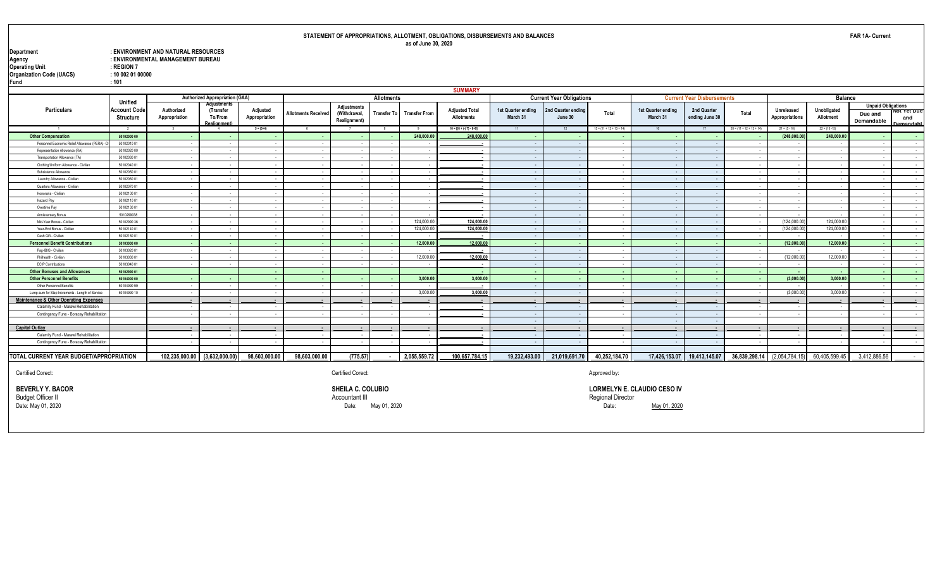| Department                      | : ENVIRONMENT AND NATURAL RESOURCES |
|---------------------------------|-------------------------------------|
| Agency                          | : ENVIRONMENTAL MANAGEMENT BUREAU   |
| Operating Unit                  | $:$ REGION 7                        |
| <b>Organization Code (UACS)</b> | : 10 002 01 00000                   |
| Fund                            | :101                                |

|                                                   |                                 |                             |                                                     |                           |                            |                                             |                          |                      | <b>SUMMARY</b>                             |                                |                                 |                            |                                |                                   |                              |                              |                          |                                                    |                                                     |
|---------------------------------------------------|---------------------------------|-----------------------------|-----------------------------------------------------|---------------------------|----------------------------|---------------------------------------------|--------------------------|----------------------|--------------------------------------------|--------------------------------|---------------------------------|----------------------------|--------------------------------|-----------------------------------|------------------------------|------------------------------|--------------------------|----------------------------------------------------|-----------------------------------------------------|
|                                                   | Unified                         |                             | <b>Authorized Appropriation (GAA)</b>               |                           |                            |                                             | Allotments               |                      |                                            |                                | <b>Current Year Obligations</b> |                            |                                | <b>Current Year Disbursements</b> |                              |                              | <b>Balance</b>           |                                                    |                                                     |
| Particulars                                       | Account Cod<br><b>Structure</b> | Authorized<br>Appropriation | Adjustments<br>(Transfer<br>To/From<br>Realignment) | Adjusted<br>Appropriation | <b>Allotments Received</b> | Adjustments<br>(Withdrawal,<br>Realignment) | <b>Transfer To</b>       | <b>Transfer From</b> | <b>Adjusted Total</b><br><b>Allotments</b> | 1st Quarter ending<br>March 31 | 2nd Quarter ending<br>June 30   | Total                      | 1st Quarter ending<br>March 31 | 2nd Quarter<br>ending June 30     | Total                        | Unreleased<br>Appropriations | Unobligated<br>Allotment | <b>Unpaid Obligations</b><br>Due and<br>Demandable | ινοι τ <del>ει</del> Due<br>and<br><b>Jemandahl</b> |
| $\overline{1}$                                    | $\overline{2}$                  | $\overline{\mathbf{3}}$     |                                                     | $5 = (3+4)$               | 6                          | $\overline{7}$                              | 8                        | 9                    | $10 = \left[\{6 + (-) 7\} - 8 + 9\right]$  | 11                             | 12                              | $15 = (11 + 12 + 13 + 14)$ | 16                             | 17                                | $20 = (11 + 12 + 13 + 14)$   | $21 = (5 - 10)$              | $22 = (10 - 15)$         |                                                    |                                                     |
| <b>Other Compensation</b>                         | 50102000 00                     |                             |                                                     |                           |                            |                                             | . .                      | 248,000.00           | 248,000.0                                  |                                |                                 | . .                        | . .                            |                                   |                              | (248,000.00)                 | 248,000.00               | <b>COL</b>                                         | . .                                                 |
| Personnel Economic Relief Allowance (PERA)        | 50102010 01                     |                             |                                                     |                           |                            |                                             |                          |                      |                                            |                                |                                 | $\sim$                     | $\sim$ $-$                     |                                   |                              |                              |                          | $\sim$                                             |                                                     |
| Representation Allowance (RA)                     | 50102020 00                     |                             |                                                     |                           |                            |                                             |                          |                      |                                            |                                |                                 |                            | ٠.                             |                                   |                              |                              |                          |                                                    |                                                     |
| Transportation Allowance (TA)                     | 50102030.01                     |                             |                                                     |                           |                            |                                             |                          |                      |                                            |                                |                                 |                            | $\sim$                         |                                   |                              | - 1                          |                          |                                                    |                                                     |
| Clothing/Uniform Allowance - Civilian             | 50102040 01                     |                             |                                                     |                           |                            |                                             |                          | $\sim$               |                                            |                                |                                 | $\sim$                     | $\sim$                         |                                   |                              | $\sim$                       |                          |                                                    |                                                     |
| Subsistence Allowance                             | 50102050 01                     |                             |                                                     |                           |                            |                                             |                          |                      |                                            |                                |                                 | $\sim$                     | $\sim$                         |                                   |                              | $\sim$                       |                          |                                                    | $\sim$                                              |
| Laundry Allowance - Civilian                      | 50102060 01                     |                             |                                                     | . .                       |                            | $\sim$                                      | - -                      | $\sim$               | . .                                        | ٠.                             | $\sim$                          | $\sim$                     | $\sim$ $-$                     |                                   |                              | $\sim$                       | - 1                      | $\sim$                                             | $\sim$                                              |
| Quarters Allowance - Civilian                     | 50102070 01                     |                             |                                                     |                           |                            |                                             |                          |                      |                                            |                                |                                 |                            | $\sim$                         |                                   |                              |                              |                          |                                                    |                                                     |
| Honoraria - Civilian                              | 50102100 01                     |                             |                                                     |                           |                            |                                             |                          |                      |                                            |                                |                                 | - 14                       | $\sim$                         |                                   |                              | - 1                          |                          | $\overline{\phantom{a}}$                           |                                                     |
| Hazard Pav                                        | 5010211001                      |                             |                                                     | . .                       |                            |                                             |                          |                      |                                            |                                |                                 | ٠.                         | $\sim$                         |                                   |                              | - -                          |                          |                                                    |                                                     |
| Overtime Pay                                      | 50102130 01                     |                             |                                                     |                           |                            |                                             |                          |                      |                                            |                                |                                 |                            | $\sim$                         |                                   |                              | . .                          |                          |                                                    |                                                     |
| Annieversary Bonus                                | 5010299038                      |                             |                                                     |                           |                            |                                             |                          |                      |                                            |                                |                                 |                            | ٠.                             |                                   |                              |                              |                          |                                                    |                                                     |
| Mid-Year Bonus - Civilian                         | 5010299036                      |                             |                                                     |                           |                            |                                             |                          | 124.000.00           | 124,000.00                                 | ٠.                             | $\sim$                          | $\sim$                     | $\sim$ $-$                     |                                   |                              | (124.000.00)                 | 124,000.00               | $\sim$                                             | $\sim$                                              |
| Year-End Bonus - Civilian                         | 50102140 01                     |                             |                                                     | - 1                       |                            | $\sim$                                      | - 1                      | 124.000.00           | 124,000.00                                 |                                | $\sim$                          | $\sim$                     | $\sim$ $\sim$                  |                                   |                              | (124,000.00)                 | 124,000.0                | $\sim$                                             | $\sim$ 100 $\mu$                                    |
| Cash Gift - Civilian                              | 50102150 01                     |                             |                                                     | - 1                       |                            | $\overline{\phantom{a}}$                    | $\overline{\phantom{a}}$ |                      |                                            |                                |                                 | $\sim$                     | $\sim$ $\sim$                  |                                   |                              | . .                          |                          | $\sim$                                             | $\sim$                                              |
| <b>Personnel Benefit Contributions</b>            | 50103000 00                     |                             |                                                     |                           |                            |                                             | ٠.                       | 12.000.00            | 12,000.00                                  |                                |                                 | . .                        | . .                            |                                   | . .                          | (12.000.00)                  | 12.000.00                | . .                                                | . .                                                 |
| Pag-IBIG - Civilian                               | 5010302001                      |                             |                                                     |                           |                            |                                             |                          |                      |                                            |                                |                                 |                            | $\sim$ $\sim$                  |                                   |                              |                              |                          | - 4                                                |                                                     |
| Philhealth - Civilian                             | 5010303001                      |                             |                                                     |                           |                            |                                             |                          | 12,000.00            | 12,000.00                                  |                                |                                 |                            | $\sim$                         |                                   |                              | (12,000.00)                  | 12,000.00                | $\sim$                                             |                                                     |
| <b>ECIP Contributions</b>                         | 50103040 01                     |                             |                                                     |                           |                            |                                             |                          |                      |                                            | . .                            |                                 | ٠.                         | $\sim$                         |                                   |                              | - -                          |                          | $\overline{\phantom{a}}$                           | $\sim$                                              |
| <b>Other Bonuses and Allowances</b>               | 50102990 01                     |                             |                                                     |                           |                            |                                             |                          |                      |                                            |                                |                                 | ٠.                         | ٠.                             |                                   |                              | ٠.                           |                          | . .                                                | . .                                                 |
| <b>Other Personnel Benefits</b>                   | 50104000 00                     |                             |                                                     |                           |                            |                                             |                          | 3,000.00             | 3,000.00                                   |                                |                                 | . .                        | . .                            |                                   | $\sim$                       | (3,000.00)                   | 3,000.00                 | . .                                                | $\sim$                                              |
| Other Personnel Benefits                          | 5010499099                      |                             |                                                     |                           |                            |                                             |                          |                      |                                            |                                |                                 | ٠.                         | $\sim$                         |                                   |                              | . .                          |                          |                                                    |                                                     |
| Lump-sum for Step Increments - Length of Service  | 50104990 10                     |                             |                                                     |                           |                            |                                             |                          | 3.000.00             | 3,000.00                                   |                                |                                 | - 11                       | $\sim$ $\sim$                  |                                   |                              | (3.000.00)                   | 3,000.00                 | $\sim$                                             | $\sim$                                              |
| <b>Maintenance &amp; Other Operating Expenses</b> |                                 |                             | $\overline{\phantom{a}}$                            | $\overline{\phantom{a}}$  |                            |                                             | . .                      | $\sim$               | $\overline{\phantom{a}}$                   | $\sim$                         |                                 | $\blacksquare$             | $\sim$                         | $\sim$                            |                              | $\sim$                       | $\sim$                   | $\sim$                                             | $\sim$                                              |
| Calamity Fund - Marawi Rehabilitation             |                                 |                             |                                                     |                           |                            |                                             |                          |                      |                                            |                                |                                 | - 11                       | $\sim$ $\sim$                  | $\sim$                            |                              | $\sim$                       |                          | $\overline{\phantom{a}}$                           |                                                     |
| Contingency Fune - Boracay Rehabilitation         |                                 |                             |                                                     |                           |                            |                                             |                          |                      |                                            |                                |                                 |                            | $\sim$                         |                                   |                              |                              |                          |                                                    |                                                     |
|                                                   |                                 |                             |                                                     |                           |                            |                                             |                          |                      |                                            |                                |                                 |                            | $\sim$                         |                                   |                              |                              |                          |                                                    |                                                     |
| <b>Capital Outlay</b>                             |                                 |                             |                                                     |                           |                            |                                             |                          |                      |                                            |                                |                                 |                            | $\overline{\phantom{a}}$       |                                   |                              |                              |                          |                                                    |                                                     |
| Calamity Fund - Marawi Rehabilitation             |                                 |                             |                                                     |                           |                            |                                             |                          |                      |                                            |                                |                                 |                            | ٠.                             |                                   |                              |                              |                          |                                                    |                                                     |
| Contingency Fune - Boracay Rehabilitation         |                                 |                             |                                                     |                           |                            | $\sim$                                      | $\overline{\phantom{a}}$ |                      |                                            |                                |                                 |                            | $\sim$                         |                                   |                              |                              |                          |                                                    |                                                     |
|                                                   |                                 |                             |                                                     |                           |                            |                                             |                          |                      |                                            |                                |                                 |                            |                                |                                   |                              |                              |                          |                                                    |                                                     |
| TOTAL CURRENT YEAR BUDGET/APPROPRIATION           |                                 |                             | 102,235,000.00 (3,632,000.00)                       | 98,603,000.00             | 98,603,000.00              | (775.57)                                    |                          | 2,055,559.72         | 100,657,784.15                             | 19,232,493.00                  | 21,019,691.70                   | 40,252,184.70              |                                | 17,426,153.07 19,413,145.07       | 36,839,298.14 (2,054,784.15) |                              | 60,405,599.45            | 3,412,886.56                                       | $\sim$                                              |
|                                                   |                                 |                             |                                                     |                           |                            |                                             |                          |                      |                                            |                                |                                 |                            |                                |                                   |                              |                              |                          |                                                    |                                                     |

Certified Corect: Certified Corect: Certified Corect: Certified Corect: Approved by:

Budget Officer II Accountant III Regional Director

**BEVERLY Y. BACOR SHEILA C. COLUBIO SHEILA C. COLUBIO SHEILA C. COLUBIO SHEILA C. COLUBIO SHEILA C. COLUBIO SHEILA C. COLUBIO SHEILA C. COLUBIO SHEILA C. COLUBIO SHEILA C. COLUBIO Description of the col** Date: May 01, 2020 Date: May 01, 2020 Date: May 01, 2020

**FAR 1A- Current**